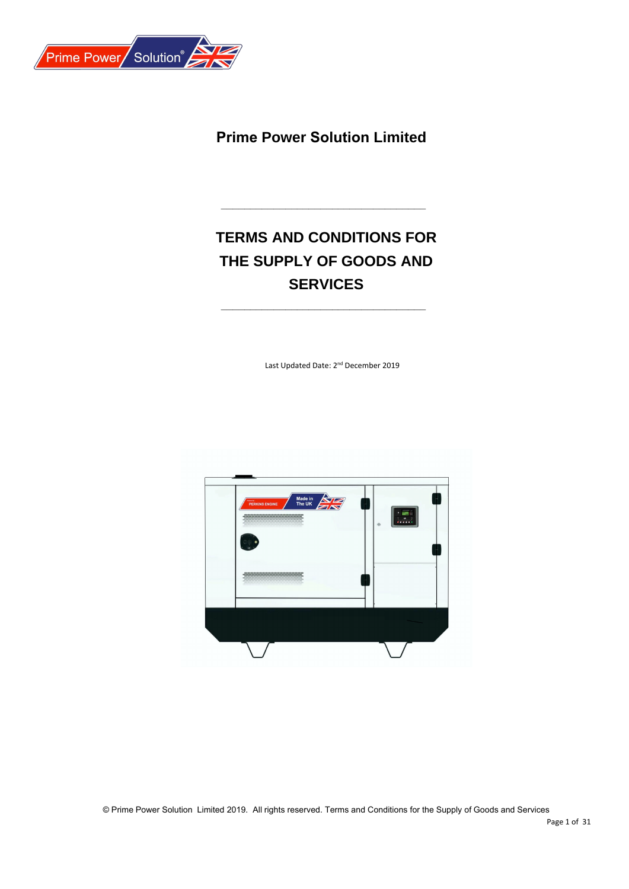

**Prime Power Solution Limited**

# **TERMS AND CONDITIONS FOR THE SUPPLY OF GOODS AND SERVICES**

**\_\_\_\_\_\_\_\_\_\_\_\_\_\_\_\_\_\_\_\_\_\_\_\_\_\_\_\_\_\_\_\_\_\_\_**

**\_\_\_\_\_\_\_\_\_\_\_\_\_\_\_\_\_\_\_\_\_\_\_\_\_\_\_\_\_\_\_\_\_\_\_**

Last Updated Date: 2<sup>nd</sup> December 2019

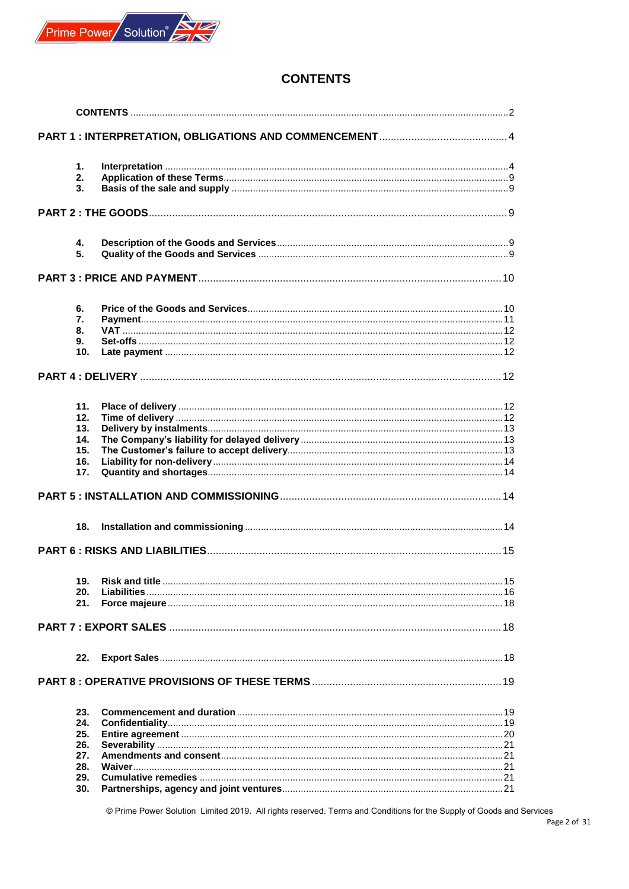

## <span id="page-1-0"></span>**CONTENTS**

|  | 1.  |  |  |  |  |  |  |
|--|-----|--|--|--|--|--|--|
|  | 2.  |  |  |  |  |  |  |
|  | 3.  |  |  |  |  |  |  |
|  |     |  |  |  |  |  |  |
|  |     |  |  |  |  |  |  |
|  | 4.  |  |  |  |  |  |  |
|  | 5.  |  |  |  |  |  |  |
|  |     |  |  |  |  |  |  |
|  |     |  |  |  |  |  |  |
|  | 6.  |  |  |  |  |  |  |
|  | 7.  |  |  |  |  |  |  |
|  | 8.  |  |  |  |  |  |  |
|  | 9.  |  |  |  |  |  |  |
|  | 10. |  |  |  |  |  |  |
|  |     |  |  |  |  |  |  |
|  |     |  |  |  |  |  |  |
|  | 11. |  |  |  |  |  |  |
|  | 12. |  |  |  |  |  |  |
|  | 13. |  |  |  |  |  |  |
|  | 14. |  |  |  |  |  |  |
|  | 15. |  |  |  |  |  |  |
|  | 16. |  |  |  |  |  |  |
|  | 17. |  |  |  |  |  |  |
|  |     |  |  |  |  |  |  |
|  | 18. |  |  |  |  |  |  |
|  |     |  |  |  |  |  |  |
|  |     |  |  |  |  |  |  |
|  | 19. |  |  |  |  |  |  |
|  | 20. |  |  |  |  |  |  |
|  | 21. |  |  |  |  |  |  |
|  |     |  |  |  |  |  |  |
|  |     |  |  |  |  |  |  |
|  | 22. |  |  |  |  |  |  |
|  |     |  |  |  |  |  |  |
|  |     |  |  |  |  |  |  |
|  | 23. |  |  |  |  |  |  |
|  | 24. |  |  |  |  |  |  |
|  | 25. |  |  |  |  |  |  |
|  | 26. |  |  |  |  |  |  |
|  | 27. |  |  |  |  |  |  |
|  | 28. |  |  |  |  |  |  |
|  | 29. |  |  |  |  |  |  |
|  | 30. |  |  |  |  |  |  |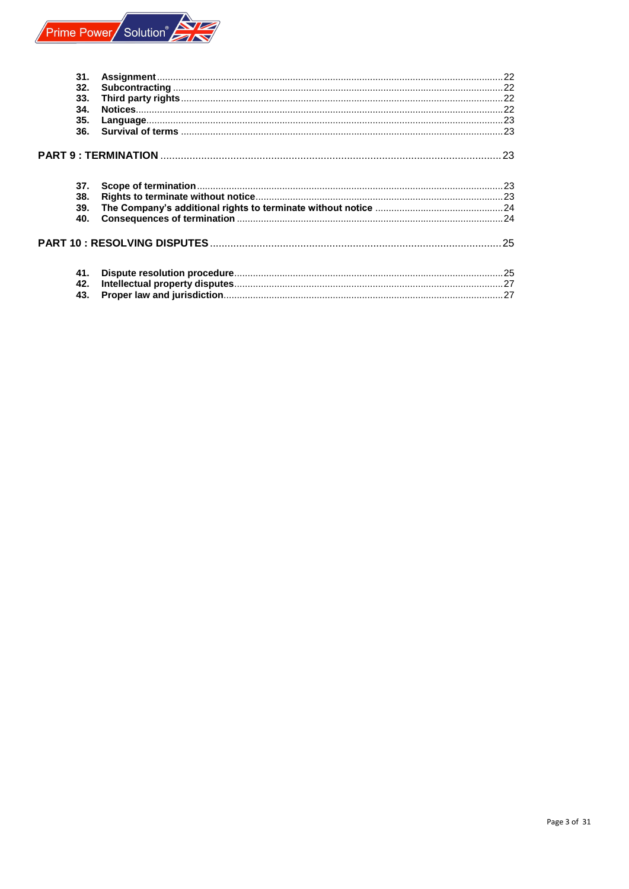

| 31. |  |
|-----|--|
| 32. |  |
| 33. |  |
| 34. |  |
| 35. |  |
| 36. |  |
|     |  |
| 37. |  |
| 38. |  |
| 39. |  |
| 40. |  |
|     |  |
| 41. |  |
| 42. |  |
| 43. |  |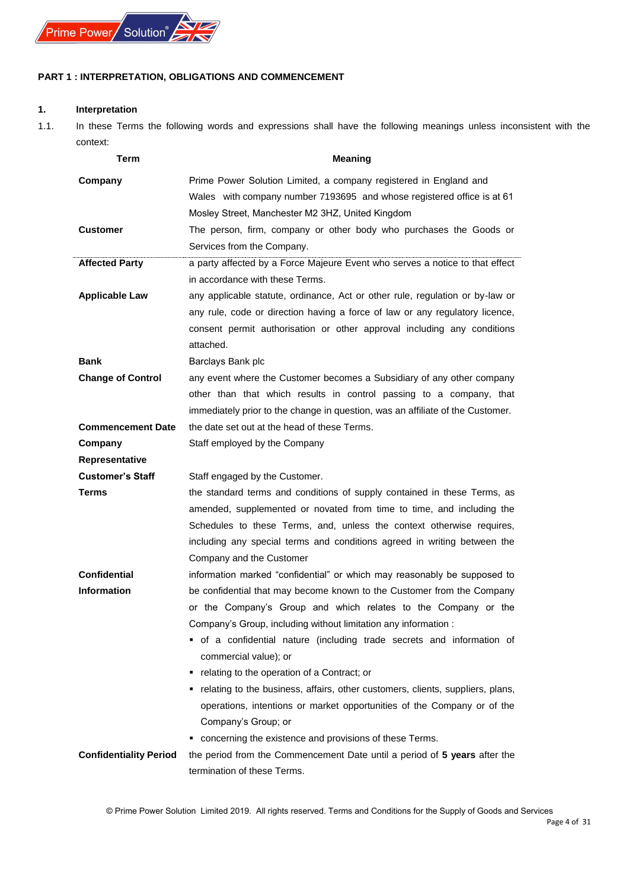## <span id="page-3-0"></span>**PART 1 : INTERPRETATION, OBLIGATIONS AND COMMENCEMENT**

## <span id="page-3-1"></span>**1. Interpretation**

1.1. In these Terms the following words and expressions shall have the following meanings unless inconsistent with the context:

| Term                          | <b>Meaning</b>                                                                                                                                 |  |  |  |  |  |
|-------------------------------|------------------------------------------------------------------------------------------------------------------------------------------------|--|--|--|--|--|
| Company                       | Prime Power Solution Limited, a company registered in England and                                                                              |  |  |  |  |  |
|                               | Wales with company number 7193695 and whose registered office is at 61                                                                         |  |  |  |  |  |
|                               | Mosley Street, Manchester M2 3HZ, United Kingdom                                                                                               |  |  |  |  |  |
| <b>Customer</b>               | The person, firm, company or other body who purchases the Goods or                                                                             |  |  |  |  |  |
|                               | Services from the Company.                                                                                                                     |  |  |  |  |  |
| <b>Affected Party</b>         | a party affected by a Force Majeure Event who serves a notice to that effect                                                                   |  |  |  |  |  |
|                               | in accordance with these Terms.                                                                                                                |  |  |  |  |  |
| <b>Applicable Law</b>         | any applicable statute, ordinance, Act or other rule, regulation or by-law or                                                                  |  |  |  |  |  |
|                               | any rule, code or direction having a force of law or any regulatory licence,                                                                   |  |  |  |  |  |
|                               | consent permit authorisation or other approval including any conditions                                                                        |  |  |  |  |  |
|                               | attached.                                                                                                                                      |  |  |  |  |  |
| <b>Bank</b>                   | Barclays Bank plc                                                                                                                              |  |  |  |  |  |
| <b>Change of Control</b>      | any event where the Customer becomes a Subsidiary of any other company                                                                         |  |  |  |  |  |
|                               | other than that which results in control passing to a company, that                                                                            |  |  |  |  |  |
|                               | immediately prior to the change in question, was an affiliate of the Customer.                                                                 |  |  |  |  |  |
| <b>Commencement Date</b>      | the date set out at the head of these Terms.                                                                                                   |  |  |  |  |  |
| Company                       | Staff employed by the Company                                                                                                                  |  |  |  |  |  |
| <b>Representative</b>         |                                                                                                                                                |  |  |  |  |  |
| <b>Customer's Staff</b>       | Staff engaged by the Customer.                                                                                                                 |  |  |  |  |  |
| Terms                         | the standard terms and conditions of supply contained in these Terms, as                                                                       |  |  |  |  |  |
|                               | amended, supplemented or novated from time to time, and including the<br>Schedules to these Terms, and, unless the context otherwise requires, |  |  |  |  |  |
|                               | including any special terms and conditions agreed in writing between the                                                                       |  |  |  |  |  |
|                               | Company and the Customer                                                                                                                       |  |  |  |  |  |
| <b>Confidential</b>           | information marked "confidential" or which may reasonably be supposed to                                                                       |  |  |  |  |  |
| <b>Information</b>            | be confidential that may become known to the Customer from the Company                                                                         |  |  |  |  |  |
|                               | or the Company's Group and which relates to the Company or the                                                                                 |  |  |  |  |  |
|                               | Company's Group, including without limitation any information :                                                                                |  |  |  |  |  |
|                               | " of a confidential nature (including trade secrets and information of                                                                         |  |  |  |  |  |
|                               | commercial value); or                                                                                                                          |  |  |  |  |  |
|                               | • relating to the operation of a Contract; or                                                                                                  |  |  |  |  |  |
|                               | • relating to the business, affairs, other customers, clients, suppliers, plans,                                                               |  |  |  |  |  |
|                               | operations, intentions or market opportunities of the Company or of the                                                                        |  |  |  |  |  |
|                               | Company's Group; or                                                                                                                            |  |  |  |  |  |
|                               | • concerning the existence and provisions of these Terms.                                                                                      |  |  |  |  |  |
| <b>Confidentiality Period</b> | the period from the Commencement Date until a period of 5 years after the                                                                      |  |  |  |  |  |
|                               | termination of these Terms.                                                                                                                    |  |  |  |  |  |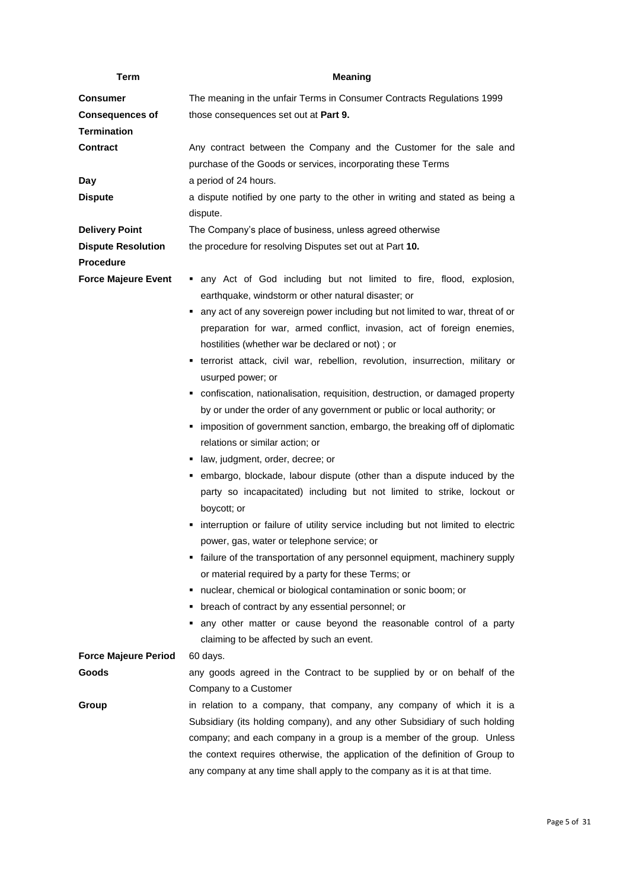| Term                                          | <b>Meaning</b>                                                                                                                                                                                                                                                                                                                                                                            |  |  |  |  |
|-----------------------------------------------|-------------------------------------------------------------------------------------------------------------------------------------------------------------------------------------------------------------------------------------------------------------------------------------------------------------------------------------------------------------------------------------------|--|--|--|--|
| <b>Consumer</b>                               | The meaning in the unfair Terms in Consumer Contracts Regulations 1999                                                                                                                                                                                                                                                                                                                    |  |  |  |  |
| <b>Consequences of</b><br><b>Termination</b>  | those consequences set out at Part 9.                                                                                                                                                                                                                                                                                                                                                     |  |  |  |  |
| <b>Contract</b>                               | Any contract between the Company and the Customer for the sale and<br>purchase of the Goods or services, incorporating these Terms                                                                                                                                                                                                                                                        |  |  |  |  |
| Day                                           | a period of 24 hours.                                                                                                                                                                                                                                                                                                                                                                     |  |  |  |  |
| <b>Dispute</b>                                | a dispute notified by one party to the other in writing and stated as being a<br>dispute.                                                                                                                                                                                                                                                                                                 |  |  |  |  |
| <b>Delivery Point</b>                         | The Company's place of business, unless agreed otherwise                                                                                                                                                                                                                                                                                                                                  |  |  |  |  |
| <b>Dispute Resolution</b><br><b>Procedure</b> | the procedure for resolving Disputes set out at Part 10.                                                                                                                                                                                                                                                                                                                                  |  |  |  |  |
| <b>Force Majeure Event</b>                    | • any Act of God including but not limited to fire, flood, explosion,<br>earthquake, windstorm or other natural disaster; or                                                                                                                                                                                                                                                              |  |  |  |  |
|                                               | any act of any sovereign power including but not limited to war, threat of or<br>preparation for war, armed conflict, invasion, act of foreign enemies,<br>hostilities (whether war be declared or not); or                                                                                                                                                                               |  |  |  |  |
|                                               | • terrorist attack, civil war, rebellion, revolution, insurrection, military or                                                                                                                                                                                                                                                                                                           |  |  |  |  |
|                                               | usurped power; or                                                                                                                                                                                                                                                                                                                                                                         |  |  |  |  |
|                                               | • confiscation, nationalisation, requisition, destruction, or damaged property<br>by or under the order of any government or public or local authority; or                                                                                                                                                                                                                                |  |  |  |  |
|                                               | imposition of government sanction, embargo, the breaking off of diplomatic<br>relations or similar action; or                                                                                                                                                                                                                                                                             |  |  |  |  |
|                                               | · law, judgment, order, decree; or                                                                                                                                                                                                                                                                                                                                                        |  |  |  |  |
|                                               | " embargo, blockade, labour dispute (other than a dispute induced by the<br>party so incapacitated) including but not limited to strike, lockout or<br>boycott; or                                                                                                                                                                                                                        |  |  |  |  |
|                                               | interruption or failure of utility service including but not limited to electric                                                                                                                                                                                                                                                                                                          |  |  |  |  |
|                                               | power, gas, water or telephone service; or                                                                                                                                                                                                                                                                                                                                                |  |  |  |  |
|                                               | • failure of the transportation of any personnel equipment, machinery supply<br>or material required by a party for these Terms; or                                                                                                                                                                                                                                                       |  |  |  |  |
|                                               | nuclear, chemical or biological contamination or sonic boom; or<br>٠                                                                                                                                                                                                                                                                                                                      |  |  |  |  |
|                                               | • breach of contract by any essential personnel; or                                                                                                                                                                                                                                                                                                                                       |  |  |  |  |
|                                               | any other matter or cause beyond the reasonable control of a party<br>claiming to be affected by such an event.                                                                                                                                                                                                                                                                           |  |  |  |  |
| <b>Force Majeure Period</b>                   | 60 days.                                                                                                                                                                                                                                                                                                                                                                                  |  |  |  |  |
| Goods                                         | any goods agreed in the Contract to be supplied by or on behalf of the<br>Company to a Customer                                                                                                                                                                                                                                                                                           |  |  |  |  |
| Group                                         | in relation to a company, that company, any company of which it is a<br>Subsidiary (its holding company), and any other Subsidiary of such holding<br>company; and each company in a group is a member of the group. Unless<br>the context requires otherwise, the application of the definition of Group to<br>any company at any time shall apply to the company as it is at that time. |  |  |  |  |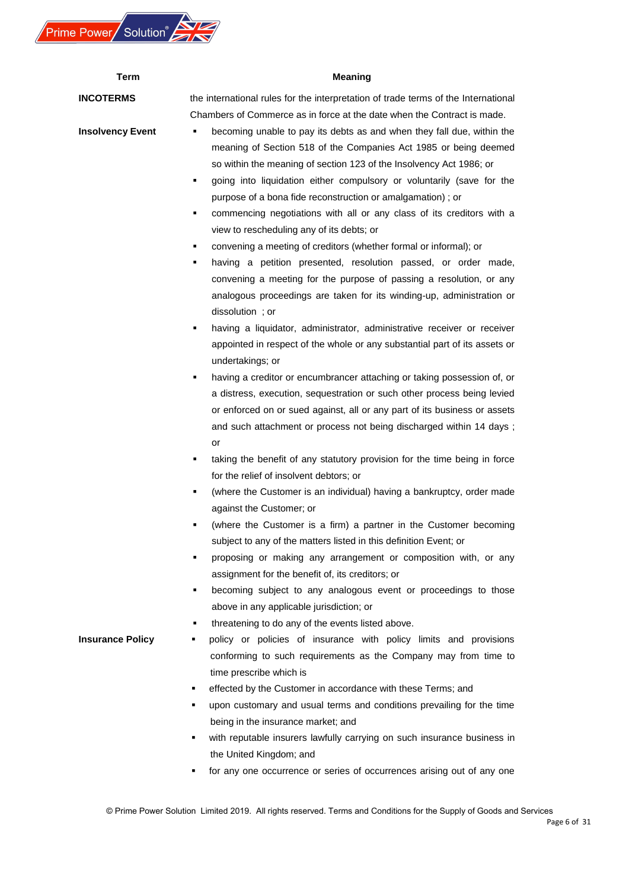

| Term                    | <b>Meaning</b>                                                                                                                                                                                                                                                                                                                                                                                                                                                                                                                                                                                                                                                                                                                                                                                                                                                                          |  |  |  |  |  |  |
|-------------------------|-----------------------------------------------------------------------------------------------------------------------------------------------------------------------------------------------------------------------------------------------------------------------------------------------------------------------------------------------------------------------------------------------------------------------------------------------------------------------------------------------------------------------------------------------------------------------------------------------------------------------------------------------------------------------------------------------------------------------------------------------------------------------------------------------------------------------------------------------------------------------------------------|--|--|--|--|--|--|
| <b>INCOTERMS</b>        | the international rules for the interpretation of trade terms of the International                                                                                                                                                                                                                                                                                                                                                                                                                                                                                                                                                                                                                                                                                                                                                                                                      |  |  |  |  |  |  |
| <b>Insolvency Event</b> | Chambers of Commerce as in force at the date when the Contract is made.<br>becoming unable to pay its debts as and when they fall due, within the<br>meaning of Section 518 of the Companies Act 1985 or being deemed<br>so within the meaning of section 123 of the Insolvency Act 1986; or<br>going into liquidation either compulsory or voluntarily (save for the<br>٠<br>purpose of a bona fide reconstruction or amalgamation); or<br>commencing negotiations with all or any class of its creditors with a<br>٠<br>view to rescheduling any of its debts; or<br>convening a meeting of creditors (whether formal or informal); or<br>٠<br>having a petition presented, resolution passed, or order made,<br>٠<br>convening a meeting for the purpose of passing a resolution, or any<br>analogous proceedings are taken for its winding-up, administration or<br>dissolution; or |  |  |  |  |  |  |
|                         | having a liquidator, administrator, administrative receiver or receiver<br>٠<br>appointed in respect of the whole or any substantial part of its assets or<br>undertakings; or                                                                                                                                                                                                                                                                                                                                                                                                                                                                                                                                                                                                                                                                                                          |  |  |  |  |  |  |
|                         | having a creditor or encumbrancer attaching or taking possession of, or<br>٠<br>a distress, execution, sequestration or such other process being levied<br>or enforced on or sued against, all or any part of its business or assets<br>and such attachment or process not being discharged within 14 days;<br>or                                                                                                                                                                                                                                                                                                                                                                                                                                                                                                                                                                       |  |  |  |  |  |  |
|                         | taking the benefit of any statutory provision for the time being in force<br>٠<br>for the relief of insolvent debtors; or                                                                                                                                                                                                                                                                                                                                                                                                                                                                                                                                                                                                                                                                                                                                                               |  |  |  |  |  |  |
|                         | (where the Customer is an individual) having a bankruptcy, order made<br>٠<br>against the Customer; or                                                                                                                                                                                                                                                                                                                                                                                                                                                                                                                                                                                                                                                                                                                                                                                  |  |  |  |  |  |  |
|                         | (where the Customer is a firm) a partner in the Customer becoming<br>٠<br>subject to any of the matters listed in this definition Event; or<br>proposing or making any arrangement or composition with, or any<br>٠                                                                                                                                                                                                                                                                                                                                                                                                                                                                                                                                                                                                                                                                     |  |  |  |  |  |  |
|                         | assignment for the benefit of, its creditors; or<br>becoming subject to any analogous event or proceedings to those<br>٠<br>above in any applicable jurisdiction; or<br>threatening to do any of the events listed above.<br>٠                                                                                                                                                                                                                                                                                                                                                                                                                                                                                                                                                                                                                                                          |  |  |  |  |  |  |
| <b>Insurance Policy</b> | policy or policies of insurance with policy limits and provisions<br>٠<br>conforming to such requirements as the Company may from time to<br>time prescribe which is                                                                                                                                                                                                                                                                                                                                                                                                                                                                                                                                                                                                                                                                                                                    |  |  |  |  |  |  |
|                         | effected by the Customer in accordance with these Terms; and<br>٠<br>upon customary and usual terms and conditions prevailing for the time<br>٠<br>being in the insurance market; and                                                                                                                                                                                                                                                                                                                                                                                                                                                                                                                                                                                                                                                                                                   |  |  |  |  |  |  |
|                         | with reputable insurers lawfully carrying on such insurance business in<br>٠<br>the United Kingdom; and                                                                                                                                                                                                                                                                                                                                                                                                                                                                                                                                                                                                                                                                                                                                                                                 |  |  |  |  |  |  |
|                         | for any one occurrence or series of occurrences arising out of any one                                                                                                                                                                                                                                                                                                                                                                                                                                                                                                                                                                                                                                                                                                                                                                                                                  |  |  |  |  |  |  |

## Page 6 of 31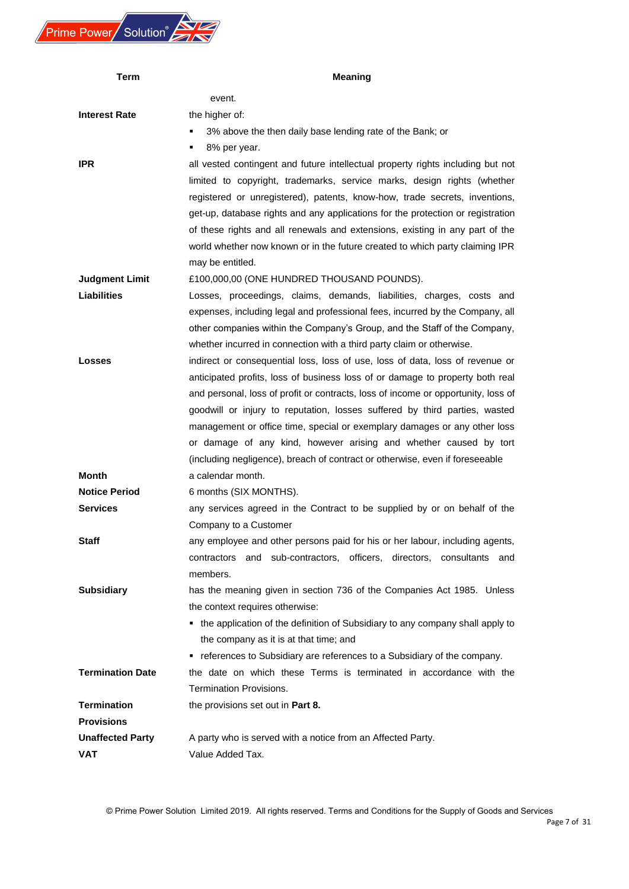

| Term                    | <b>Meaning</b>                                                                    |  |  |  |  |  |
|-------------------------|-----------------------------------------------------------------------------------|--|--|--|--|--|
|                         | event.                                                                            |  |  |  |  |  |
| <b>Interest Rate</b>    | the higher of:                                                                    |  |  |  |  |  |
|                         | 3% above the then daily base lending rate of the Bank; or<br>٠                    |  |  |  |  |  |
|                         | 8% per year.<br>٠                                                                 |  |  |  |  |  |
| <b>IPR</b>              | all vested contingent and future intellectual property rights including but not   |  |  |  |  |  |
|                         | limited to copyright, trademarks, service marks, design rights (whether           |  |  |  |  |  |
|                         | registered or unregistered), patents, know-how, trade secrets, inventions,        |  |  |  |  |  |
|                         | get-up, database rights and any applications for the protection or registration   |  |  |  |  |  |
|                         | of these rights and all renewals and extensions, existing in any part of the      |  |  |  |  |  |
|                         | world whether now known or in the future created to which party claiming IPR      |  |  |  |  |  |
|                         | may be entitled.                                                                  |  |  |  |  |  |
| <b>Judgment Limit</b>   | £100,000,00 (ONE HUNDRED THOUSAND POUNDS).                                        |  |  |  |  |  |
| Liabilities             | Losses, proceedings, claims, demands, liabilities, charges, costs and             |  |  |  |  |  |
|                         | expenses, including legal and professional fees, incurred by the Company, all     |  |  |  |  |  |
|                         | other companies within the Company's Group, and the Staff of the Company,         |  |  |  |  |  |
|                         | whether incurred in connection with a third party claim or otherwise.             |  |  |  |  |  |
| <b>Losses</b>           | indirect or consequential loss, loss of use, loss of data, loss of revenue or     |  |  |  |  |  |
|                         | anticipated profits, loss of business loss of or damage to property both real     |  |  |  |  |  |
|                         | and personal, loss of profit or contracts, loss of income or opportunity, loss of |  |  |  |  |  |
|                         | goodwill or injury to reputation, losses suffered by third parties, wasted        |  |  |  |  |  |
|                         | management or office time, special or exemplary damages or any other loss         |  |  |  |  |  |
|                         | or damage of any kind, however arising and whether caused by tort                 |  |  |  |  |  |
|                         | (including negligence), breach of contract or otherwise, even if foreseeable      |  |  |  |  |  |
| Month                   | a calendar month.                                                                 |  |  |  |  |  |
| <b>Notice Period</b>    | 6 months (SIX MONTHS).                                                            |  |  |  |  |  |
| <b>Services</b>         | any services agreed in the Contract to be supplied by or on behalf of the         |  |  |  |  |  |
|                         | Company to a Customer                                                             |  |  |  |  |  |
| <b>Staff</b>            | any employee and other persons paid for his or her labour, including agents,      |  |  |  |  |  |
|                         | contractors and sub-contractors, officers, directors, consultants and             |  |  |  |  |  |
|                         | members.                                                                          |  |  |  |  |  |
| <b>Subsidiary</b>       | has the meaning given in section 736 of the Companies Act 1985. Unless            |  |  |  |  |  |
|                         | the context requires otherwise:                                                   |  |  |  |  |  |
|                         | • the application of the definition of Subsidiary to any company shall apply to   |  |  |  |  |  |
|                         | the company as it is at that time; and                                            |  |  |  |  |  |
|                         | • references to Subsidiary are references to a Subsidiary of the company.         |  |  |  |  |  |
| <b>Termination Date</b> | the date on which these Terms is terminated in accordance with the                |  |  |  |  |  |
|                         | Termination Provisions.                                                           |  |  |  |  |  |
| <b>Termination</b>      | the provisions set out in Part 8.                                                 |  |  |  |  |  |
| <b>Provisions</b>       |                                                                                   |  |  |  |  |  |
| <b>Unaffected Party</b> | A party who is served with a notice from an Affected Party.                       |  |  |  |  |  |
| <b>VAT</b>              | Value Added Tax.                                                                  |  |  |  |  |  |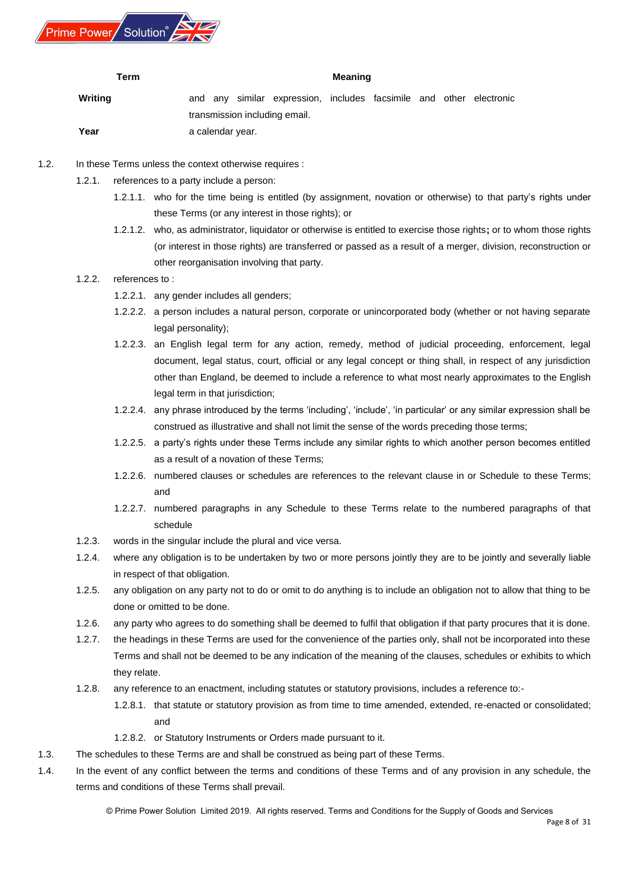<span id="page-7-0"></span>

#### **Term Meaning**

| Writing |                               |  |                  | and any similar expression, includes facsimile and other electronic |  |  |  |  |
|---------|-------------------------------|--|------------------|---------------------------------------------------------------------|--|--|--|--|
|         | transmission including email. |  |                  |                                                                     |  |  |  |  |
| Year    |                               |  | a calendar year. |                                                                     |  |  |  |  |

- 1.2. In these Terms unless the context otherwise requires :
	- 1.2.1. references to a party include a person:
		- 1.2.1.1. who for the time being is entitled (by assignment, novation or otherwise) to that party's rights under these Terms (or any interest in those rights); or
		- 1.2.1.2. who, as administrator, liquidator or otherwise is entitled to exercise those rights**;** or to whom those rights (or interest in those rights) are transferred or passed as a result of a merger, division, reconstruction or other reorganisation involving that party.

## 1.2.2. references to :

- 1.2.2.1. any gender includes all genders;
- 1.2.2.2. a person includes a natural person, corporate or unincorporated body (whether or not having separate legal personality);
- 1.2.2.3. an English legal term for any action, remedy, method of judicial proceeding, enforcement, legal document, legal status, court, official or any legal concept or thing shall, in respect of any jurisdiction other than England, be deemed to include a reference to what most nearly approximates to the English legal term in that jurisdiction;
- 1.2.2.4. any phrase introduced by the terms 'including', 'include', 'in particular' or any similar expression shall be construed as illustrative and shall not limit the sense of the words preceding those terms;
- 1.2.2.5. a party's rights under these Terms include any similar rights to which another person becomes entitled as a result of a novation of these Terms;
- 1.2.2.6. numbered clauses or schedules are references to the relevant clause in or Schedule to these Terms; and
- 1.2.2.7. numbered paragraphs in any Schedule to these Terms relate to the numbered paragraphs of that schedule
- 1.2.3. words in the singular include the plural and vice versa.
- 1.2.4. where any obligation is to be undertaken by two or more persons jointly they are to be jointly and severally liable in respect of that obligation.
- 1.2.5. any obligation on any party not to do or omit to do anything is to include an obligation not to allow that thing to be done or omitted to be done.
- 1.2.6. any party who agrees to do something shall be deemed to fulfil that obligation if that party procures that it is done.
- 1.2.7. the headings in these Terms are used for the convenience of the parties only, shall not be incorporated into these Terms and shall not be deemed to be any indication of the meaning of the clauses, schedules or exhibits to which they relate.
- 1.2.8. any reference to an enactment, including statutes or statutory provisions, includes a reference to:-
	- 1.2.8.1. that statute or statutory provision as from time to time amended, extended, re-enacted or consolidated; and
	- 1.2.8.2. or Statutory Instruments or Orders made pursuant to it.
- 1.3. The schedules to these Terms are and shall be construed as being part of these Terms.
- 1.4. In the event of any conflict between the terms and conditions of these Terms and of any provision in any schedule, the terms and conditions of these Terms shall prevail.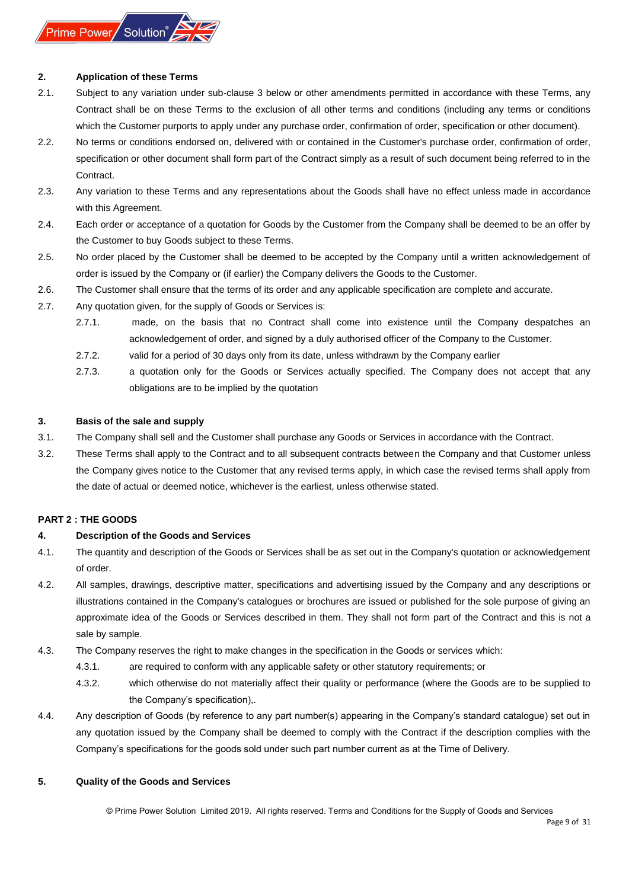

#### **2. Application of these Terms**

- 2.1. Subject to any variation under sub-clause 3 below or other amendments permitted in accordance with these Terms, any Contract shall be on these Terms to the exclusion of all other terms and conditions (including any terms or conditions which the Customer purports to apply under any purchase order, confirmation of order, specification or other document).
- 2.2. No terms or conditions endorsed on, delivered with or contained in the Customer's purchase order, confirmation of order, specification or other document shall form part of the Contract simply as a result of such document being referred to in the Contract.
- 2.3. Any variation to these Terms and any representations about the Goods shall have no effect unless made in accordance with this Agreement.
- 2.4. Each order or acceptance of a quotation for Goods by the Customer from the Company shall be deemed to be an offer by the Customer to buy Goods subject to these Terms.
- 2.5. No order placed by the Customer shall be deemed to be accepted by the Company until a written acknowledgement of order is issued by the Company or (if earlier) the Company delivers the Goods to the Customer.
- 2.6. The Customer shall ensure that the terms of its order and any applicable specification are complete and accurate.
- 2.7. Any quotation given, for the supply of Goods or Services is:
	- 2.7.1. made, on the basis that no Contract shall come into existence until the Company despatches an acknowledgement of order, and signed by a duly authorised officer of the Company to the Customer.
	- 2.7.2. valid for a period of 30 days only from its date, unless withdrawn by the Company earlier
	- 2.7.3. a quotation only for the Goods or Services actually specified. The Company does not accept that any obligations are to be implied by the quotation

#### <span id="page-8-0"></span>**3. Basis of the sale and supply**

- 3.1. The Company shall sell and the Customer shall purchase any Goods or Services in accordance with the Contract.
- 3.2. These Terms shall apply to the Contract and to all subsequent contracts between the Company and that Customer unless the Company gives notice to the Customer that any revised terms apply, in which case the revised terms shall apply from the date of actual or deemed notice, whichever is the earliest, unless otherwise stated.

## <span id="page-8-1"></span>**PART 2 : THE GOODS**

## <span id="page-8-2"></span>**4. Description of the Goods and Services**

- 4.1. The quantity and description of the Goods or Services shall be as set out in the Company's quotation or acknowledgement of order.
- 4.2. All samples, drawings, descriptive matter, specifications and advertising issued by the Company and any descriptions or illustrations contained in the Company's catalogues or brochures are issued or published for the sole purpose of giving an approximate idea of the Goods or Services described in them. They shall not form part of the Contract and this is not a sale by sample.
- 4.3. The Company reserves the right to make changes in the specification in the Goods or services which:
	- 4.3.1. are required to conform with any applicable safety or other statutory requirements; or
	- 4.3.2. which otherwise do not materially affect their quality or performance (where the Goods are to be supplied to the Company's specification),.
- 4.4. Any description of Goods (by reference to any part number(s) appearing in the Company's standard catalogue) set out in any quotation issued by the Company shall be deemed to comply with the Contract if the description complies with the Company's specifications for the goods sold under such part number current as at the Time of Delivery.

#### <span id="page-8-3"></span>**5. Quality of the Goods and Services**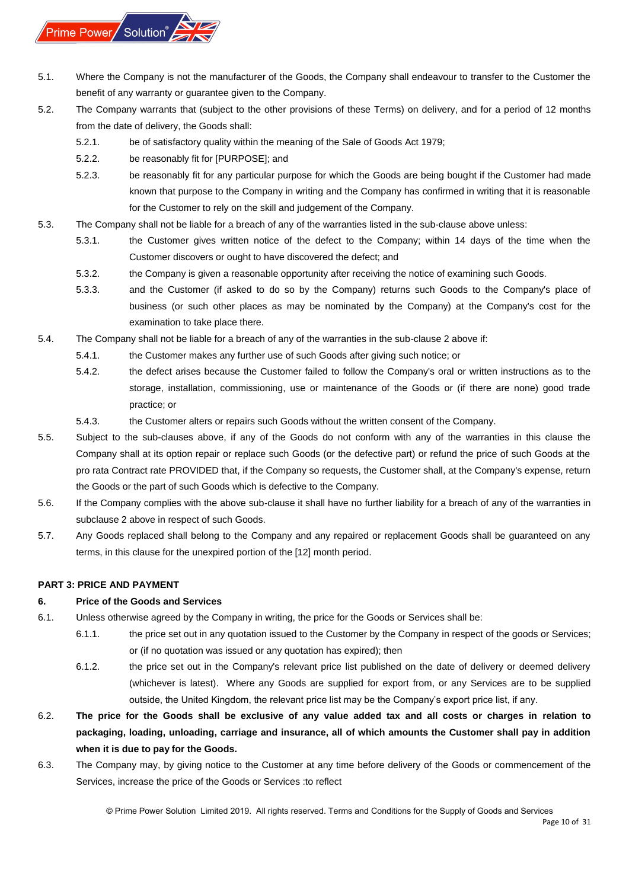

- 5.1. Where the Company is not the manufacturer of the Goods, the Company shall endeavour to transfer to the Customer the benefit of any warranty or guarantee given to the Company.
- 5.2. The Company warrants that (subject to the other provisions of these Terms) on delivery, and for a period of 12 months from the date of delivery, the Goods shall:
	- 5.2.1. be of satisfactory quality within the meaning of the Sale of Goods Act 1979;
	- 5.2.2. be reasonably fit for [PURPOSE]; and
	- 5.2.3. be reasonably fit for any particular purpose for which the Goods are being bought if the Customer had made known that purpose to the Company in writing and the Company has confirmed in writing that it is reasonable for the Customer to rely on the skill and judgement of the Company.
- 5.3. The Company shall not be liable for a breach of any of the warranties listed in the sub-clause above unless:
	- 5.3.1. the Customer gives written notice of the defect to the Company; within 14 days of the time when the Customer discovers or ought to have discovered the defect; and
	- 5.3.2. the Company is given a reasonable opportunity after receiving the notice of examining such Goods.
	- 5.3.3. and the Customer (if asked to do so by the Company) returns such Goods to the Company's place of business (or such other places as may be nominated by the Company) at the Company's cost for the examination to take place there.
- 5.4. The Company shall not be liable for a breach of any of the warranties in the sub-clause 2 above if:
	- 5.4.1. the Customer makes any further use of such Goods after giving such notice; or
	- 5.4.2. the defect arises because the Customer failed to follow the Company's oral or written instructions as to the storage, installation, commissioning, use or maintenance of the Goods or (if there are none) good trade practice; or
	- 5.4.3. the Customer alters or repairs such Goods without the written consent of the Company.
- 5.5. Subject to the sub-clauses above, if any of the Goods do not conform with any of the warranties in this clause the Company shall at its option repair or replace such Goods (or the defective part) or refund the price of such Goods at the pro rata Contract rate PROVIDED that, if the Company so requests, the Customer shall, at the Company's expense, return the Goods or the part of such Goods which is defective to the Company.
- 5.6. If the Company complies with the above sub-clause it shall have no further liability for a breach of any of the warranties in subclause 2 above in respect of such Goods.
- 5.7. Any Goods replaced shall belong to the Company and any repaired or replacement Goods shall be guaranteed on any terms, in this clause for the unexpired portion of the [12] month period.

## <span id="page-9-0"></span>**PART 3: PRICE AND PAYMENT**

## <span id="page-9-1"></span>**6. Price of the Goods and Services**

- 6.1. Unless otherwise agreed by the Company in writing, the price for the Goods or Services shall be:
	- 6.1.1. the price set out in any quotation issued to the Customer by the Company in respect of the goods or Services; or (if no quotation was issued or any quotation has expired); then
	- 6.1.2. the price set out in the Company's relevant price list published on the date of delivery or deemed delivery (whichever is latest). Where any Goods are supplied for export from, or any Services are to be supplied outside, the United Kingdom, the relevant price list may be the Company's export price list, if any.
- 6.2. **The price for the Goods shall be exclusive of any value added tax and all costs or charges in relation to packaging, loading, unloading, carriage and insurance, all of which amounts the Customer shall pay in addition when it is due to pay for the Goods.**
- 6.3. The Company may, by giving notice to the Customer at any time before delivery of the Goods or commencement of the Services, increase the price of the Goods or Services :to reflect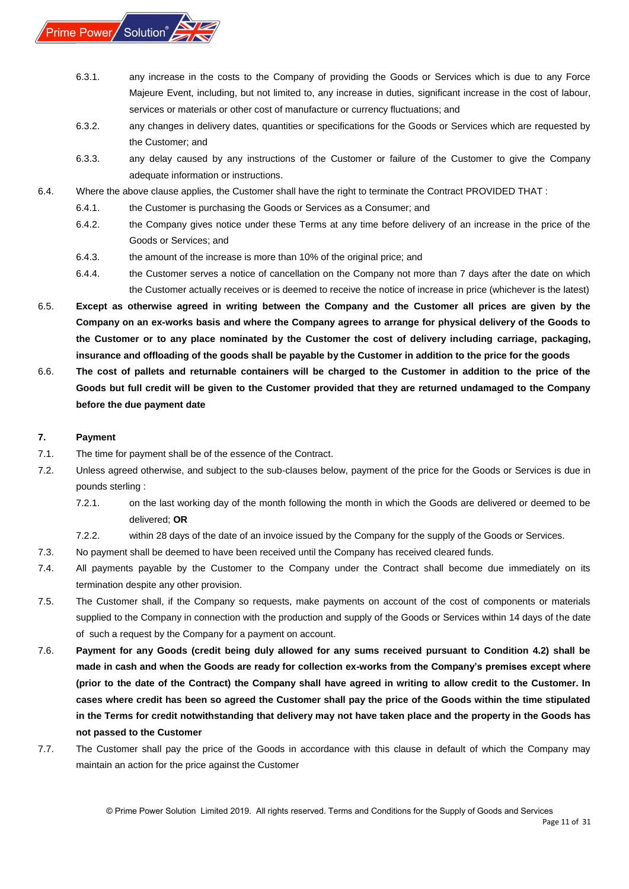<span id="page-10-1"></span>

- 6.3.1. any increase in the costs to the Company of providing the Goods or Services which is due to any Force Majeure Event, including, but not limited to, any increase in duties, significant increase in the cost of labour, services or materials or other cost of manufacture or currency fluctuations; and
- 6.3.2. any changes in delivery dates, quantities or specifications for the Goods or Services which are requested by the Customer; and
- 6.3.3. any delay caused by any instructions of the Customer or failure of the Customer to give the Company adequate information or instructions.
- 6.4. Where the above clause applies, the Customer shall have the right to terminate the Contract PROVIDED THAT:
	- 6.4.1. the Customer is purchasing the Goods or Services as a Consumer; and
	- 6.4.2. the Company gives notice under these Terms at any time before delivery of an increase in the price of the Goods or Services; and
	- 6.4.3. the amount of the increase is more than 10% of the original price; and
	- 6.4.4. the Customer serves a notice of cancellation on the Company not more than 7 days after the date on which the Customer actually receives or is deemed to receive the notice of increase in price (whichever is the latest)
- 6.5. **Except as otherwise agreed in writing between the Company and the Customer all prices are given by the Company on an ex-works basis and where the Company agrees to arrange for physical delivery of the Goods to the Customer or to any place nominated by the Customer the cost of delivery including carriage, packaging, insurance and offloading of the goods shall be payable by the Customer in addition to the price for the goods**
- 6.6. **The cost of pallets and returnable containers will be charged to the Customer in addition to the price of the Goods but full credit will be given to the Customer provided that they are returned undamaged to the Company before the due payment date**

#### <span id="page-10-0"></span>**7. Payment**

- 7.1. The time for payment shall be of the essence of the Contract.
- 7.2. Unless agreed otherwise, and subject to the sub-clauses below, payment of the price for the Goods or Services is due in pounds sterling :
	- 7.2.1. on the last working day of the month following the month in which the Goods are delivered or deemed to be delivered; **OR**
	- 7.2.2. within 28 days of the date of an invoice issued by the Company for the supply of the Goods or Services.
- 7.3. No payment shall be deemed to have been received until the Company has received cleared funds.
- 7.4. All payments payable by the Customer to the Company under the Contract shall become due immediately on its termination despite any other provision.
- 7.5. The Customer shall, if the Company so requests, make payments on account of the cost of components or materials supplied to the Company in connection with the production and supply of the Goods or Services within 14 days of the date of such a request by the Company for a payment on account.
- 7.6. **Payment for any Goods (credit being duly allowed for any sums received pursuant to Condition 4.2) shall be made in cash and when the Goods are ready for collection ex-works from the Company's premises except where (prior to the date of the Contract) the Company shall have agreed in writing to allow credit to the Customer. In cases where credit has been so agreed the Customer shall pay the price of the Goods within the time stipulated in the Terms for credit notwithstanding that delivery may not have taken place and the property in the Goods has not passed to the Customer**
- 7.7. The Customer shall pay the price of the Goods in accordance with this clause in default of which the Company may maintain an action for the price against the Customer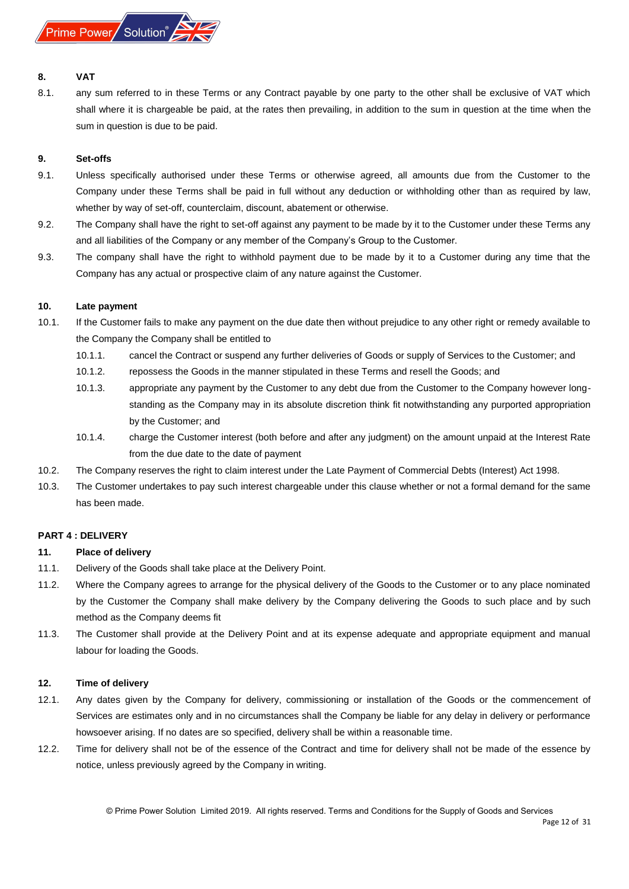

#### **8. VAT**

8.1. any sum referred to in these Terms or any Contract payable by one party to the other shall be exclusive of VAT which shall where it is chargeable be paid, at the rates then prevailing, in addition to the sum in question at the time when the sum in question is due to be paid.

#### <span id="page-11-0"></span>**9. Set-offs**

- 9.1. Unless specifically authorised under these Terms or otherwise agreed, all amounts due from the Customer to the Company under these Terms shall be paid in full without any deduction or withholding other than as required by law, whether by way of set-off, counterclaim, discount, abatement or otherwise.
- 9.2. The Company shall have the right to set-off against any payment to be made by it to the Customer under these Terms any and all liabilities of the Company or any member of the Company's Group to the Customer.
- 9.3. The company shall have the right to withhold payment due to be made by it to a Customer during any time that the Company has any actual or prospective claim of any nature against the Customer.

#### <span id="page-11-1"></span>**10. Late payment**

- 10.1. If the Customer fails to make any payment on the due date then without prejudice to any other right or remedy available to the Company the Company shall be entitled to
	- 10.1.1. cancel the Contract or suspend any further deliveries of Goods or supply of Services to the Customer; and
	- 10.1.2. repossess the Goods in the manner stipulated in these Terms and resell the Goods; and
	- 10.1.3. appropriate any payment by the Customer to any debt due from the Customer to the Company however longstanding as the Company may in its absolute discretion think fit notwithstanding any purported appropriation by the Customer; and
	- 10.1.4. charge the Customer interest (both before and after any judgment) on the amount unpaid at the Interest Rate from the due date to the date of payment
- 10.2. The Company reserves the right to claim interest under the Late Payment of Commercial Debts (Interest) Act 1998.
- 10.3. The Customer undertakes to pay such interest chargeable under this clause whether or not a formal demand for the same has been made.

## <span id="page-11-2"></span>**PART 4 : DELIVERY**

## <span id="page-11-3"></span>**11. Place of delivery**

- 11.1. Delivery of the Goods shall take place at the Delivery Point.
- 11.2. Where the Company agrees to arrange for the physical delivery of the Goods to the Customer or to any place nominated by the Customer the Company shall make delivery by the Company delivering the Goods to such place and by such method as the Company deems fit
- 11.3. The Customer shall provide at the Delivery Point and at its expense adequate and appropriate equipment and manual labour for loading the Goods.

#### <span id="page-11-4"></span>**12. Time of delivery**

- 12.1. Any dates given by the Company for delivery, commissioning or installation of the Goods or the commencement of Services are estimates only and in no circumstances shall the Company be liable for any delay in delivery or performance howsoever arising. If no dates are so specified, delivery shall be within a reasonable time.
- 12.2. Time for delivery shall not be of the essence of the Contract and time for delivery shall not be made of the essence by notice, unless previously agreed by the Company in writing.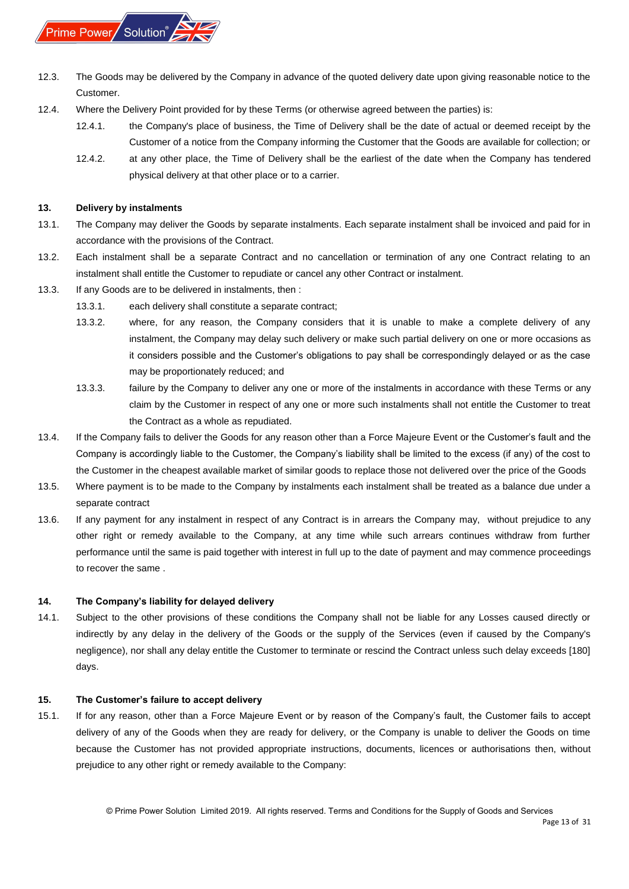

- 12.3. The Goods may be delivered by the Company in advance of the quoted delivery date upon giving reasonable notice to the Customer.
- 12.4. Where the Delivery Point provided for by these Terms (or otherwise agreed between the parties) is:
	- 12.4.1. the Company's place of business, the Time of Delivery shall be the date of actual or deemed receipt by the Customer of a notice from the Company informing the Customer that the Goods are available for collection; or
	- 12.4.2. at any other place, the Time of Delivery shall be the earliest of the date when the Company has tendered physical delivery at that other place or to a carrier.

#### <span id="page-12-0"></span>**13. Delivery by instalments**

- 13.1. The Company may deliver the Goods by separate instalments. Each separate instalment shall be invoiced and paid for in accordance with the provisions of the Contract.
- 13.2. Each instalment shall be a separate Contract and no cancellation or termination of any one Contract relating to an instalment shall entitle the Customer to repudiate or cancel any other Contract or instalment.
- 13.3. If any Goods are to be delivered in instalments, then :
	- 13.3.1. each delivery shall constitute a separate contract;
	- 13.3.2. where, for any reason, the Company considers that it is unable to make a complete delivery of any instalment, the Company may delay such delivery or make such partial delivery on one or more occasions as it considers possible and the Customer's obligations to pay shall be correspondingly delayed or as the case may be proportionately reduced; and
	- 13.3.3. failure by the Company to deliver any one or more of the instalments in accordance with these Terms or any claim by the Customer in respect of any one or more such instalments shall not entitle the Customer to treat the Contract as a whole as repudiated.
- 13.4. If the Company fails to deliver the Goods for any reason other than a Force Majeure Event or the Customer's fault and the Company is accordingly liable to the Customer, the Company's liability shall be limited to the excess (if any) of the cost to the Customer in the cheapest available market of similar goods to replace those not delivered over the price of the Goods
- 13.5. Where payment is to be made to the Company by instalments each instalment shall be treated as a balance due under a separate contract
- 13.6. If any payment for any instalment in respect of any Contract is in arrears the Company may, without prejudice to any other right or remedy available to the Company, at any time while such arrears continues withdraw from further performance until the same is paid together with interest in full up to the date of payment and may commence proceedings to recover the same .

#### <span id="page-12-1"></span>**14. The Company's liability for delayed delivery**

14.1. Subject to the other provisions of these conditions the Company shall not be liable for any Losses caused directly or indirectly by any delay in the delivery of the Goods or the supply of the Services (even if caused by the Company's negligence), nor shall any delay entitle the Customer to terminate or rescind the Contract unless such delay exceeds [180] days.

#### <span id="page-12-2"></span>**15. The Customer's failure to accept delivery**

15.1. If for any reason, other than a Force Majeure Event or by reason of the Company's fault, the Customer fails to accept delivery of any of the Goods when they are ready for delivery, or the Company is unable to deliver the Goods on time because the Customer has not provided appropriate instructions, documents, licences or authorisations then, without prejudice to any other right or remedy available to the Company: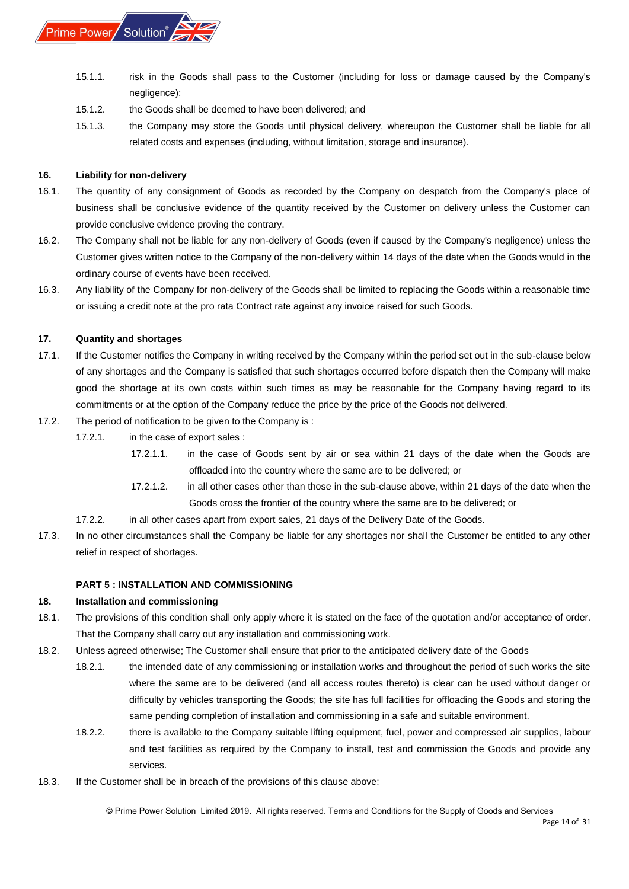

- 15.1.1. risk in the Goods shall pass to the Customer (including for loss or damage caused by the Company's negligence);
- 15.1.2. the Goods shall be deemed to have been delivered; and
- 15.1.3. the Company may store the Goods until physical delivery, whereupon the Customer shall be liable for all related costs and expenses (including, without limitation, storage and insurance).

## <span id="page-13-0"></span>**16. Liability for non-delivery**

- 16.1. The quantity of any consignment of Goods as recorded by the Company on despatch from the Company's place of business shall be conclusive evidence of the quantity received by the Customer on delivery unless the Customer can provide conclusive evidence proving the contrary.
- 16.2. The Company shall not be liable for any non-delivery of Goods (even if caused by the Company's negligence) unless the Customer gives written notice to the Company of the non-delivery within 14 days of the date when the Goods would in the ordinary course of events have been received.
- 16.3. Any liability of the Company for non-delivery of the Goods shall be limited to replacing the Goods within a reasonable time or issuing a credit note at the pro rata Contract rate against any invoice raised for such Goods.

## <span id="page-13-1"></span>**17. Quantity and shortages**

- 17.1. If the Customer notifies the Company in writing received by the Company within the period set out in the sub-clause below of any shortages and the Company is satisfied that such shortages occurred before dispatch then the Company will make good the shortage at its own costs within such times as may be reasonable for the Company having regard to its commitments or at the option of the Company reduce the price by the price of the Goods not delivered.
- 17.2. The period of notification to be given to the Company is :
	- 17.2.1. in the case of export sales :
		- 17.2.1.1. in the case of Goods sent by air or sea within 21 days of the date when the Goods are offloaded into the country where the same are to be delivered; or
		- 17.2.1.2. in all other cases other than those in the sub-clause above, within 21 days of the date when the Goods cross the frontier of the country where the same are to be delivered; or
	- 17.2.2. in all other cases apart from export sales, 21 days of the Delivery Date of the Goods.
- 17.3. In no other circumstances shall the Company be liable for any shortages nor shall the Customer be entitled to any other relief in respect of shortages.

## **PART 5 : INSTALLATION AND COMMISSIONING**

## <span id="page-13-3"></span><span id="page-13-2"></span>**18. Installation and commissioning**

- 18.1. The provisions of this condition shall only apply where it is stated on the face of the quotation and/or acceptance of order. That the Company shall carry out any installation and commissioning work.
- 18.2. Unless agreed otherwise; The Customer shall ensure that prior to the anticipated delivery date of the Goods
	- 18.2.1. the intended date of any commissioning or installation works and throughout the period of such works the site where the same are to be delivered (and all access routes thereto) is clear can be used without danger or difficulty by vehicles transporting the Goods; the site has full facilities for offloading the Goods and storing the same pending completion of installation and commissioning in a safe and suitable environment.
	- 18.2.2. there is available to the Company suitable lifting equipment, fuel, power and compressed air supplies, labour and test facilities as required by the Company to install, test and commission the Goods and provide any services.
- 18.3. If the Customer shall be in breach of the provisions of this clause above: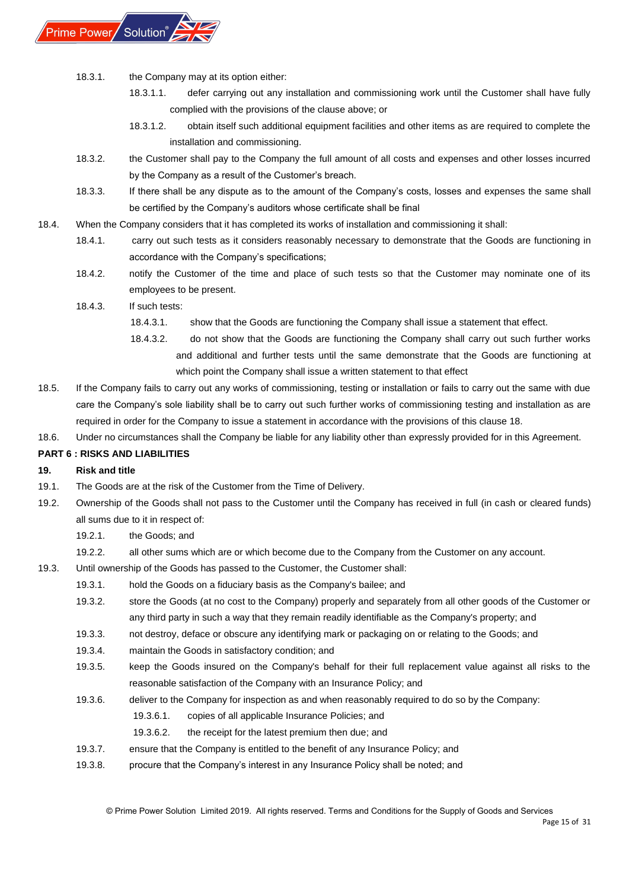

- 18.3.1. the Company may at its option either:
	- 18.3.1.1. defer carrying out any installation and commissioning work until the Customer shall have fully complied with the provisions of the clause above; or
	- 18.3.1.2. obtain itself such additional equipment facilities and other items as are required to complete the installation and commissioning.
- 18.3.2. the Customer shall pay to the Company the full amount of all costs and expenses and other losses incurred by the Company as a result of the Customer's breach.
- 18.3.3. If there shall be any dispute as to the amount of the Company's costs, losses and expenses the same shall be certified by the Company's auditors whose certificate shall be final
- 18.4. When the Company considers that it has completed its works of installation and commissioning it shall:
	- 18.4.1. carry out such tests as it considers reasonably necessary to demonstrate that the Goods are functioning in accordance with the Company's specifications;
	- 18.4.2. notify the Customer of the time and place of such tests so that the Customer may nominate one of its employees to be present.
	- 18.4.3. If such tests:
		- 18.4.3.1. show that the Goods are functioning the Company shall issue a statement that effect.
		- 18.4.3.2. do not show that the Goods are functioning the Company shall carry out such further works and additional and further tests until the same demonstrate that the Goods are functioning at which point the Company shall issue a written statement to that effect
- 18.5. If the Company fails to carry out any works of commissioning, testing or installation or fails to carry out the same with due care the Company's sole liability shall be to carry out such further works of commissioning testing and installation as are required in order for the Company to issue a statement in accordance with the provisions of this clause 18.
- 18.6. Under no circumstances shall the Company be liable for any liability other than expressly provided for in this Agreement.

## <span id="page-14-0"></span>**PART 6 : RISKS AND LIABILITIES**

## <span id="page-14-1"></span>**19. Risk and title**

- 19.1. The Goods are at the risk of the Customer from the Time of Delivery.
- 19.2. Ownership of the Goods shall not pass to the Customer until the Company has received in full (in cash or cleared funds) all sums due to it in respect of:
	- 19.2.1. the Goods; and
	- 19.2.2. all other sums which are or which become due to the Company from the Customer on any account.
- 19.3. Until ownership of the Goods has passed to the Customer, the Customer shall:
	- 19.3.1. hold the Goods on a fiduciary basis as the Company's bailee; and
	- 19.3.2. store the Goods (at no cost to the Company) properly and separately from all other goods of the Customer or any third party in such a way that they remain readily identifiable as the Company's property; and
	- 19.3.3. not destroy, deface or obscure any identifying mark or packaging on or relating to the Goods; and
	- 19.3.4. maintain the Goods in satisfactory condition; and
	- 19.3.5. keep the Goods insured on the Company's behalf for their full replacement value against all risks to the reasonable satisfaction of the Company with an Insurance Policy; and
	- 19.3.6. deliver to the Company for inspection as and when reasonably required to do so by the Company:
		- 19.3.6.1. copies of all applicable Insurance Policies; and
		- 19.3.6.2. the receipt for the latest premium then due; and
	- 19.3.7. ensure that the Company is entitled to the benefit of any Insurance Policy; and
	- 19.3.8. procure that the Company's interest in any Insurance Policy shall be noted; and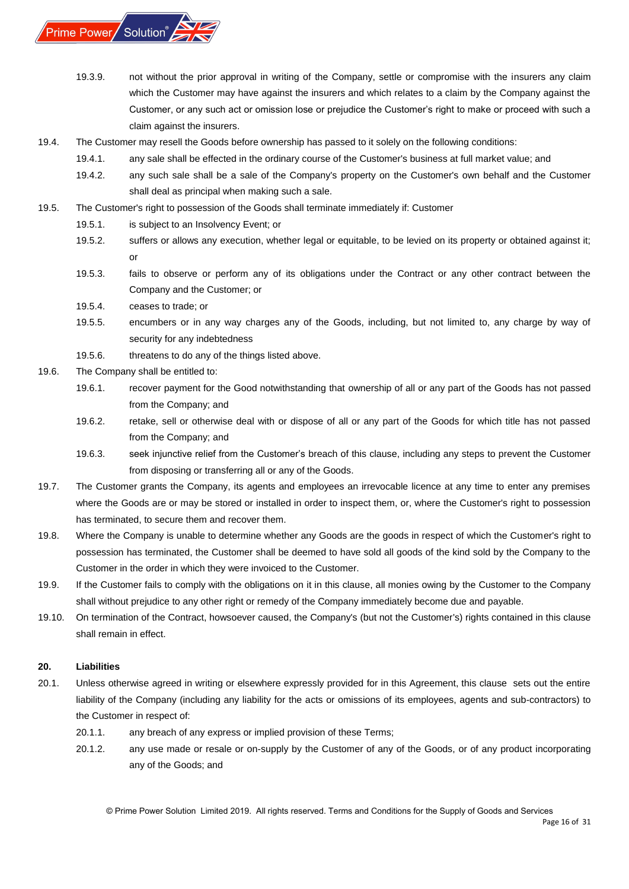

- 19.3.9. not without the prior approval in writing of the Company, settle or compromise with the insurers any claim which the Customer may have against the insurers and which relates to a claim by the Company against the Customer, or any such act or omission lose or prejudice the Customer's right to make or proceed with such a claim against the insurers.
- 19.4. The Customer may resell the Goods before ownership has passed to it solely on the following conditions:
	- 19.4.1. any sale shall be effected in the ordinary course of the Customer's business at full market value; and
	- 19.4.2. any such sale shall be a sale of the Company's property on the Customer's own behalf and the Customer shall deal as principal when making such a sale.
- 19.5. The Customer's right to possession of the Goods shall terminate immediately if: Customer
	- 19.5.1. is subject to an Insolvency Event; or
	- 19.5.2. suffers or allows any execution, whether legal or equitable, to be levied on its property or obtained against it; or
	- 19.5.3. fails to observe or perform any of its obligations under the Contract or any other contract between the Company and the Customer; or
	- 19.5.4. ceases to trade; or
	- 19.5.5. encumbers or in any way charges any of the Goods, including, but not limited to, any charge by way of security for any indebtedness
	- 19.5.6. threatens to do any of the things listed above.
- 19.6. The Company shall be entitled to:
	- 19.6.1. recover payment for the Good notwithstanding that ownership of all or any part of the Goods has not passed from the Company; and
	- 19.6.2. retake, sell or otherwise deal with or dispose of all or any part of the Goods for which title has not passed from the Company; and
	- 19.6.3. seek injunctive relief from the Customer's breach of this clause, including any steps to prevent the Customer from disposing or transferring all or any of the Goods.
- 19.7. The Customer grants the Company, its agents and employees an irrevocable licence at any time to enter any premises where the Goods are or may be stored or installed in order to inspect them, or, where the Customer's right to possession has terminated, to secure them and recover them.
- 19.8. Where the Company is unable to determine whether any Goods are the goods in respect of which the Customer's right to possession has terminated, the Customer shall be deemed to have sold all goods of the kind sold by the Company to the Customer in the order in which they were invoiced to the Customer.
- 19.9. If the Customer fails to comply with the obligations on it in this clause, all monies owing by the Customer to the Company shall without prejudice to any other right or remedy of the Company immediately become due and payable.
- 19.10. On termination of the Contract, howsoever caused, the Company's (but not the Customer's) rights contained in this clause shall remain in effect.

## <span id="page-15-0"></span>**20. Liabilities**

- 20.1. Unless otherwise agreed in writing or elsewhere expressly provided for in this Agreement, this clause sets out the entire liability of the Company (including any liability for the acts or omissions of its employees, agents and sub-contractors) to the Customer in respect of:
	- 20.1.1. any breach of any express or implied provision of these Terms;
	- 20.1.2. any use made or resale or on-supply by the Customer of any of the Goods, or of any product incorporating any of the Goods; and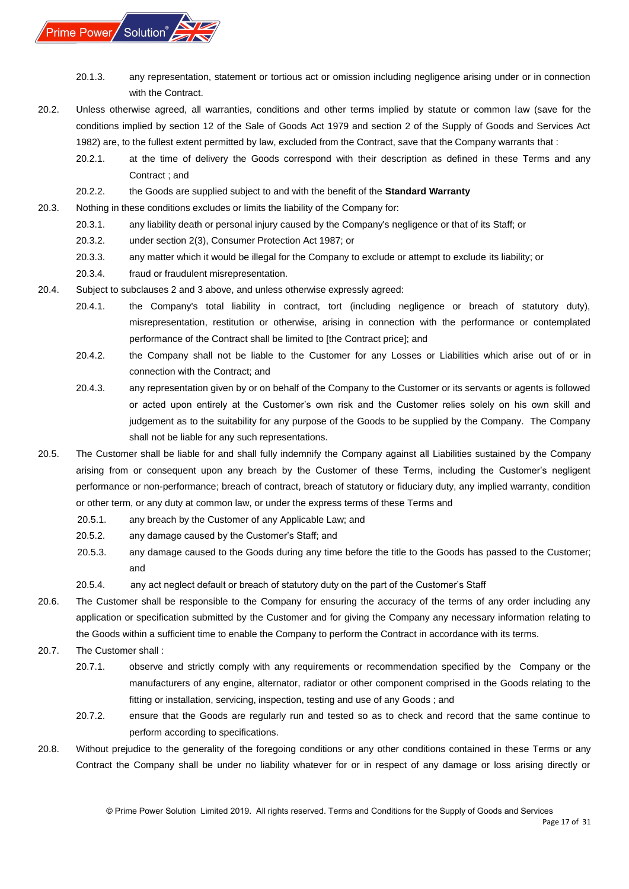

- 20.1.3. any representation, statement or tortious act or omission including negligence arising under or in connection with the Contract.
- 20.2. Unless otherwise agreed, all warranties, conditions and other terms implied by statute or common law (save for the conditions implied by section 12 of the Sale of Goods Act 1979 and section 2 of the Supply of Goods and Services Act 1982) are, to the fullest extent permitted by law, excluded from the Contract, save that the Company warrants that :
	- 20.2.1. at the time of delivery the Goods correspond with their description as defined in these Terms and any Contract ; and
	- 20.2.2. the Goods are supplied subject to and with the benefit of the **Standard Warranty**
- 20.3. Nothing in these conditions excludes or limits the liability of the Company for:
	- 20.3.1. any liability death or personal injury caused by the Company's negligence or that of its Staff; or
	- 20.3.2. under section 2(3), Consumer Protection Act 1987; or
	- 20.3.3. any matter which it would be illegal for the Company to exclude or attempt to exclude its liability; or
	- 20.3.4. fraud or fraudulent misrepresentation.
- 20.4. Subject to subclauses 2 and 3 above, and unless otherwise expressly agreed:
	- 20.4.1. the Company's total liability in contract, tort (including negligence or breach of statutory duty), misrepresentation, restitution or otherwise, arising in connection with the performance or contemplated performance of the Contract shall be limited to [the Contract price]; and
	- 20.4.2. the Company shall not be liable to the Customer for any Losses or Liabilities which arise out of or in connection with the Contract; and
	- 20.4.3. any representation given by or on behalf of the Company to the Customer or its servants or agents is followed or acted upon entirely at the Customer's own risk and the Customer relies solely on his own skill and judgement as to the suitability for any purpose of the Goods to be supplied by the Company. The Company shall not be liable for any such representations.
- 20.5. The Customer shall be liable for and shall fully indemnify the Company against all Liabilities sustained by the Company arising from or consequent upon any breach by the Customer of these Terms, including the Customer's negligent performance or non-performance; breach of contract, breach of statutory or fiduciary duty, any implied warranty, condition or other term, or any duty at common law, or under the express terms of these Terms and
	- 20.5.1. any breach by the Customer of any Applicable Law; and
	- 20.5.2. any damage caused by the Customer's Staff; and
	- 20.5.3. any damage caused to the Goods during any time before the title to the Goods has passed to the Customer; and
	- 20.5.4. any act neglect default or breach of statutory duty on the part of the Customer's Staff
- 20.6. The Customer shall be responsible to the Company for ensuring the accuracy of the terms of any order including any application or specification submitted by the Customer and for giving the Company any necessary information relating to the Goods within a sufficient time to enable the Company to perform the Contract in accordance with its terms.
- 20.7. The Customer shall :
	- 20.7.1. observe and strictly comply with any requirements or recommendation specified by the Company or the manufacturers of any engine, alternator, radiator or other component comprised in the Goods relating to the fitting or installation, servicing, inspection, testing and use of any Goods ; and
	- 20.7.2. ensure that the Goods are regularly run and tested so as to check and record that the same continue to perform according to specifications.
- 20.8. Without prejudice to the generality of the foregoing conditions or any other conditions contained in these Terms or any Contract the Company shall be under no liability whatever for or in respect of any damage or loss arising directly or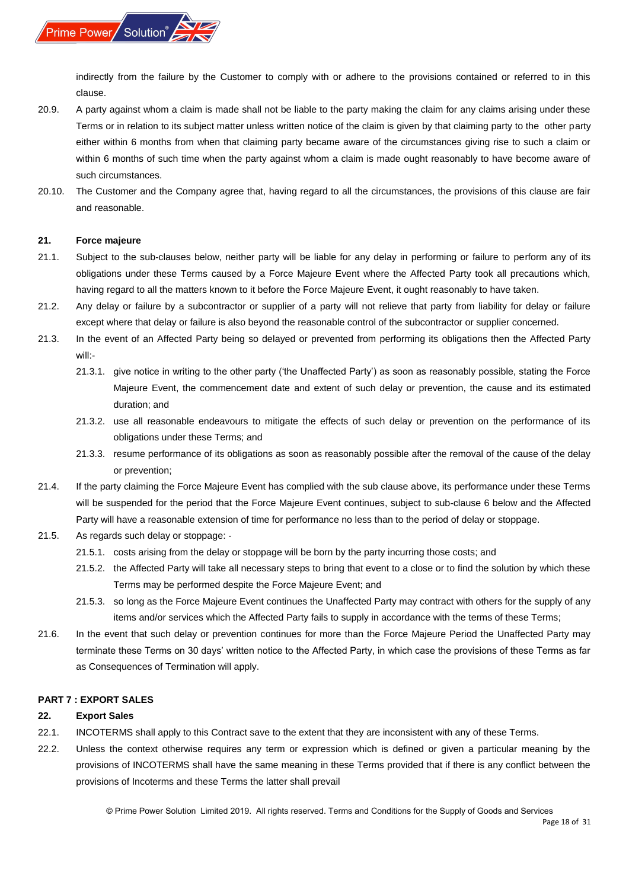

indirectly from the failure by the Customer to comply with or adhere to the provisions contained or referred to in this clause.

- 20.9. A party against whom a claim is made shall not be liable to the party making the claim for any claims arising under these Terms or in relation to its subject matter unless written notice of the claim is given by that claiming party to the other party either within 6 months from when that claiming party became aware of the circumstances giving rise to such a claim or within 6 months of such time when the party against whom a claim is made ought reasonably to have become aware of such circumstances.
- 20.10. The Customer and the Company agree that, having regard to all the circumstances, the provisions of this clause are fair and reasonable.

#### <span id="page-17-0"></span>**21. Force majeure**

- 21.1. Subject to the sub-clauses below, neither party will be liable for any delay in performing or failure to perform any of its obligations under these Terms caused by a Force Majeure Event where the Affected Party took all precautions which, having regard to all the matters known to it before the Force Majeure Event, it ought reasonably to have taken.
- 21.2. Any delay or failure by a subcontractor or supplier of a party will not relieve that party from liability for delay or failure except where that delay or failure is also beyond the reasonable control of the subcontractor or supplier concerned.
- 21.3. In the event of an Affected Party being so delayed or prevented from performing its obligations then the Affected Party will:-
	- 21.3.1. give notice in writing to the other party ('the Unaffected Party') as soon as reasonably possible, stating the Force Majeure Event, the commencement date and extent of such delay or prevention, the cause and its estimated duration; and
	- 21.3.2. use all reasonable endeavours to mitigate the effects of such delay or prevention on the performance of its obligations under these Terms; and
	- 21.3.3. resume performance of its obligations as soon as reasonably possible after the removal of the cause of the delay or prevention;
- 21.4. If the party claiming the Force Majeure Event has complied with the sub clause above, its performance under these Terms will be suspended for the period that the Force Majeure Event continues, subject to sub-clause 6 below and the Affected Party will have a reasonable extension of time for performance no less than to the period of delay or stoppage.
- 21.5. As regards such delay or stoppage:
	- 21.5.1. costs arising from the delay or stoppage will be born by the party incurring those costs; and
	- 21.5.2. the Affected Party will take all necessary steps to bring that event to a close or to find the solution by which these Terms may be performed despite the Force Majeure Event; and
	- 21.5.3. so long as the Force Majeure Event continues the Unaffected Party may contract with others for the supply of any items and/or services which the Affected Party fails to supply in accordance with the terms of these Terms;
- 21.6. In the event that such delay or prevention continues for more than the Force Majeure Period the Unaffected Party may terminate these Terms on 30 days' written notice to the Affected Party, in which case the provisions of these Terms as far as Consequences of Termination will apply.

#### <span id="page-17-1"></span>**PART 7 : EXPORT SALES**

#### <span id="page-17-2"></span>**22. Export Sales**

- 22.1. INCOTERMS shall apply to this Contract save to the extent that they are inconsistent with any of these Terms.
- 22.2. Unless the context otherwise requires any term or expression which is defined or given a particular meaning by the provisions of INCOTERMS shall have the same meaning in these Terms provided that if there is any conflict between the provisions of Incoterms and these Terms the latter shall prevail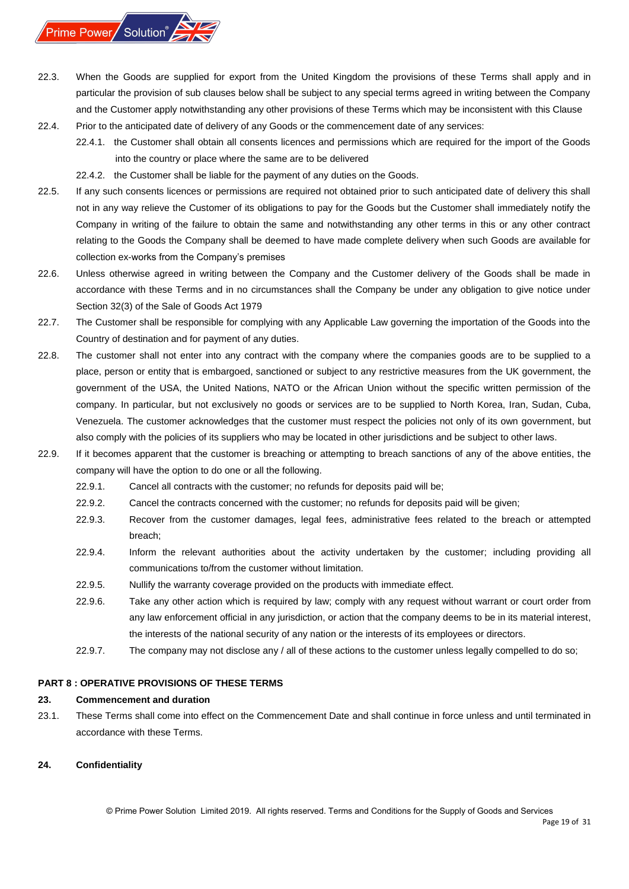- 22.3. When the Goods are supplied for export from the United Kingdom the provisions of these Terms shall apply and in particular the provision of sub clauses below shall be subject to any special terms agreed in writing between the Company and the Customer apply notwithstanding any other provisions of these Terms which may be inconsistent with this Clause 22.4. Prior to the anticipated date of delivery of any Goods or the commencement date of any services:
	- 22.4.1. the Customer shall obtain all consents licences and permissions which are required for the import of the Goods into the country or place where the same are to be delivered
		- 22.4.2. the Customer shall be liable for the payment of any duties on the Goods.
- 22.5. If any such consents licences or permissions are required not obtained prior to such anticipated date of delivery this shall not in any way relieve the Customer of its obligations to pay for the Goods but the Customer shall immediately notify the Company in writing of the failure to obtain the same and notwithstanding any other terms in this or any other contract relating to the Goods the Company shall be deemed to have made complete delivery when such Goods are available for collection ex-works from the Company's premises
- 22.6. Unless otherwise agreed in writing between the Company and the Customer delivery of the Goods shall be made in accordance with these Terms and in no circumstances shall the Company be under any obligation to give notice under Section 32(3) of the Sale of Goods Act 1979
- 22.7. The Customer shall be responsible for complying with any Applicable Law governing the importation of the Goods into the Country of destination and for payment of any duties.
- 22.8. The customer shall not enter into any contract with the company where the companies goods are to be supplied to a place, person or entity that is embargoed, sanctioned or subject to any restrictive measures from the UK government, the government of the USA, the United Nations, NATO or the African Union without the specific written permission of the company. In particular, but not exclusively no goods or services are to be supplied to North Korea, Iran, Sudan, Cuba, Venezuela. The customer acknowledges that the customer must respect the policies not only of its own government, but also comply with the policies of its suppliers who may be located in other jurisdictions and be subject to other laws.
- 22.9. If it becomes apparent that the customer is breaching or attempting to breach sanctions of any of the above entities, the company will have the option to do one or all the following.
	- 22.9.1. Cancel all contracts with the customer; no refunds for deposits paid will be;
	- 22.9.2. Cancel the contracts concerned with the customer; no refunds for deposits paid will be given;
	- 22.9.3. Recover from the customer damages, legal fees, administrative fees related to the breach or attempted breach;
	- 22.9.4. Inform the relevant authorities about the activity undertaken by the customer; including providing all communications to/from the customer without limitation.
	- 22.9.5. Nullify the warranty coverage provided on the products with immediate effect.
	- 22.9.6. Take any other action which is required by law; comply with any request without warrant or court order from any law enforcement official in any jurisdiction, or action that the company deems to be in its material interest, the interests of the national security of any nation or the interests of its employees or directors.
	- 22.9.7. The company may not disclose any / all of these actions to the customer unless legally compelled to do so;

## <span id="page-18-0"></span>**PART 8 : OPERATIVE PROVISIONS OF THESE TERMS**

## <span id="page-18-1"></span>**23. Commencement and duration**

23.1. These Terms shall come into effect on the Commencement Date and shall continue in force unless and until terminated in accordance with these Terms.

## <span id="page-18-2"></span>**24. Confidentiality**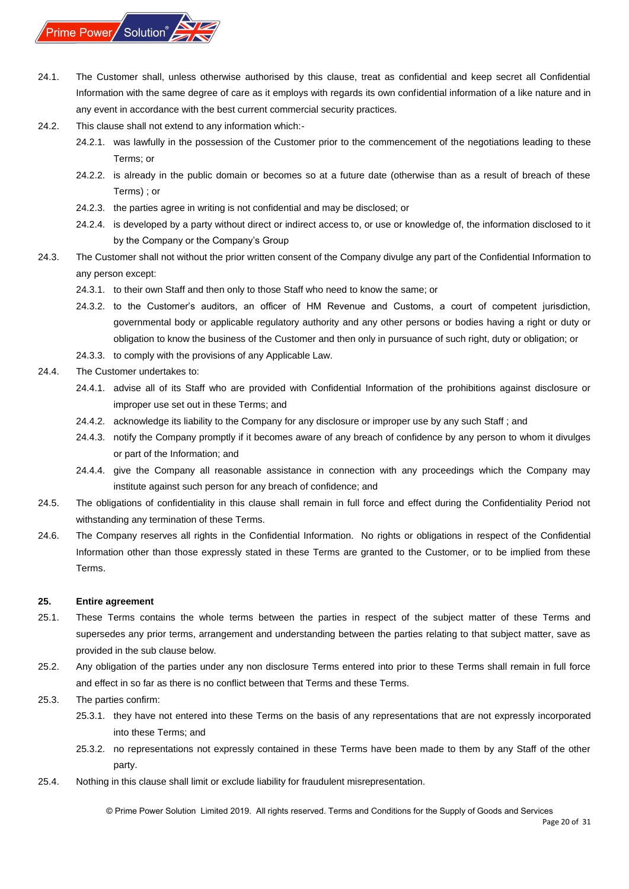

- 24.1. The Customer shall, unless otherwise authorised by this clause, treat as confidential and keep secret all Confidential Information with the same degree of care as it employs with regards its own confidential information of a like nature and in any event in accordance with the best current commercial security practices.
- 24.2. This clause shall not extend to any information which:-
	- 24.2.1. was lawfully in the possession of the Customer prior to the commencement of the negotiations leading to these Terms; or
	- 24.2.2. is already in the public domain or becomes so at a future date (otherwise than as a result of breach of these Terms) ; or
	- 24.2.3. the parties agree in writing is not confidential and may be disclosed; or
	- 24.2.4. is developed by a party without direct or indirect access to, or use or knowledge of, the information disclosed to it by the Company or the Company's Group
- 24.3. The Customer shall not without the prior written consent of the Company divulge any part of the Confidential Information to any person except:
	- 24.3.1. to their own Staff and then only to those Staff who need to know the same; or
	- 24.3.2. to the Customer's auditors, an officer of HM Revenue and Customs, a court of competent jurisdiction, governmental body or applicable regulatory authority and any other persons or bodies having a right or duty or obligation to know the business of the Customer and then only in pursuance of such right, duty or obligation; or
	- 24.3.3. to comply with the provisions of any Applicable Law.
- 24.4. The Customer undertakes to:
	- 24.4.1. advise all of its Staff who are provided with Confidential Information of the prohibitions against disclosure or improper use set out in these Terms; and
	- 24.4.2. acknowledge its liability to the Company for any disclosure or improper use by any such Staff ; and
	- 24.4.3. notify the Company promptly if it becomes aware of any breach of confidence by any person to whom it divulges or part of the Information; and
	- 24.4.4. give the Company all reasonable assistance in connection with any proceedings which the Company may institute against such person for any breach of confidence; and
- 24.5. The obligations of confidentiality in this clause shall remain in full force and effect during the Confidentiality Period not withstanding any termination of these Terms.
- 24.6. The Company reserves all rights in the Confidential Information. No rights or obligations in respect of the Confidential Information other than those expressly stated in these Terms are granted to the Customer, or to be implied from these Terms.

#### <span id="page-19-0"></span>**25. Entire agreement**

- 25.1. These Terms contains the whole terms between the parties in respect of the subject matter of these Terms and supersedes any prior terms, arrangement and understanding between the parties relating to that subject matter, save as provided in the sub clause below.
- 25.2. Any obligation of the parties under any non disclosure Terms entered into prior to these Terms shall remain in full force and effect in so far as there is no conflict between that Terms and these Terms.
- 25.3. The parties confirm:
	- 25.3.1. they have not entered into these Terms on the basis of any representations that are not expressly incorporated into these Terms; and
	- 25.3.2. no representations not expressly contained in these Terms have been made to them by any Staff of the other party.
- 25.4. Nothing in this clause shall limit or exclude liability for fraudulent misrepresentation.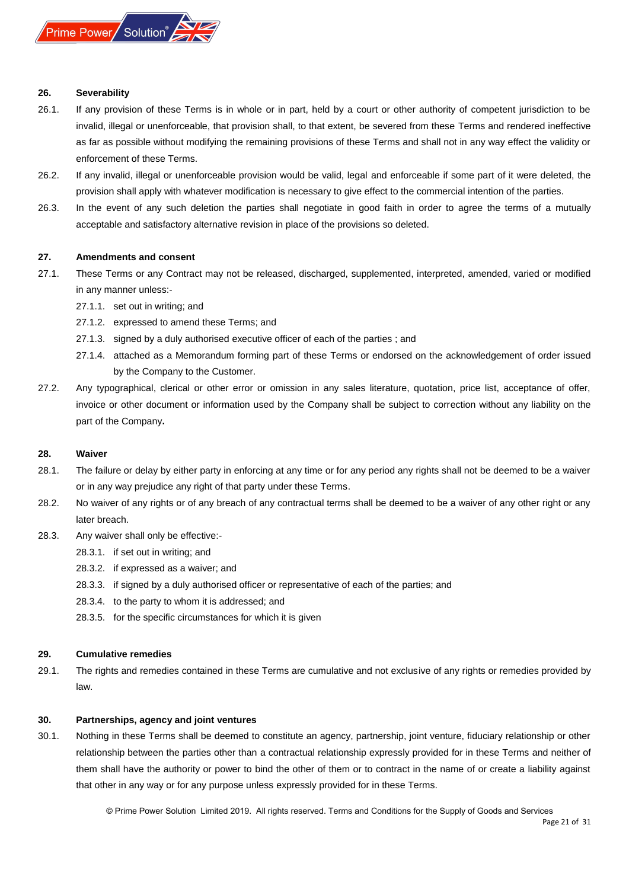

#### <span id="page-20-0"></span>**26. Severability**

- 26.1. If any provision of these Terms is in whole or in part, held by a court or other authority of competent jurisdiction to be invalid, illegal or unenforceable, that provision shall, to that extent, be severed from these Terms and rendered ineffective as far as possible without modifying the remaining provisions of these Terms and shall not in any way effect the validity or enforcement of these Terms.
- 26.2. If any invalid, illegal or unenforceable provision would be valid, legal and enforceable if some part of it were deleted, the provision shall apply with whatever modification is necessary to give effect to the commercial intention of the parties.
- 26.3. In the event of any such deletion the parties shall negotiate in good faith in order to agree the terms of a mutually acceptable and satisfactory alternative revision in place of the provisions so deleted.

#### <span id="page-20-1"></span>**27. Amendments and consent**

- 27.1. These Terms or any Contract may not be released, discharged, supplemented, interpreted, amended, varied or modified in any manner unless:-
	- 27.1.1. set out in writing; and
	- 27.1.2. expressed to amend these Terms; and
	- 27.1.3. signed by a duly authorised executive officer of each of the parties ; and
	- 27.1.4. attached as a Memorandum forming part of these Terms or endorsed on the acknowledgement of order issued by the Company to the Customer.
- 27.2. Any typographical, clerical or other error or omission in any sales literature, quotation, price list, acceptance of offer, invoice or other document or information used by the Company shall be subject to correction without any liability on the part of the Company**.**

#### <span id="page-20-2"></span>**28. Waiver**

- 28.1. The failure or delay by either party in enforcing at any time or for any period any rights shall not be deemed to be a waiver or in any way prejudice any right of that party under these Terms.
- 28.2. No waiver of any rights or of any breach of any contractual terms shall be deemed to be a waiver of any other right or any later breach.
- 28.3. Any waiver shall only be effective:-
	- 28.3.1. if set out in writing; and
	- 28.3.2. if expressed as a waiver; and
	- 28.3.3. if signed by a duly authorised officer or representative of each of the parties; and
	- 28.3.4. to the party to whom it is addressed; and
	- 28.3.5. for the specific circumstances for which it is given

#### <span id="page-20-3"></span>**29. Cumulative remedies**

29.1. The rights and remedies contained in these Terms are cumulative and not exclusive of any rights or remedies provided by law.

#### <span id="page-20-4"></span>**30. Partnerships, agency and joint ventures**

30.1. Nothing in these Terms shall be deemed to constitute an agency, partnership, joint venture, fiduciary relationship or other relationship between the parties other than a contractual relationship expressly provided for in these Terms and neither of them shall have the authority or power to bind the other of them or to contract in the name of or create a liability against that other in any way or for any purpose unless expressly provided for in these Terms.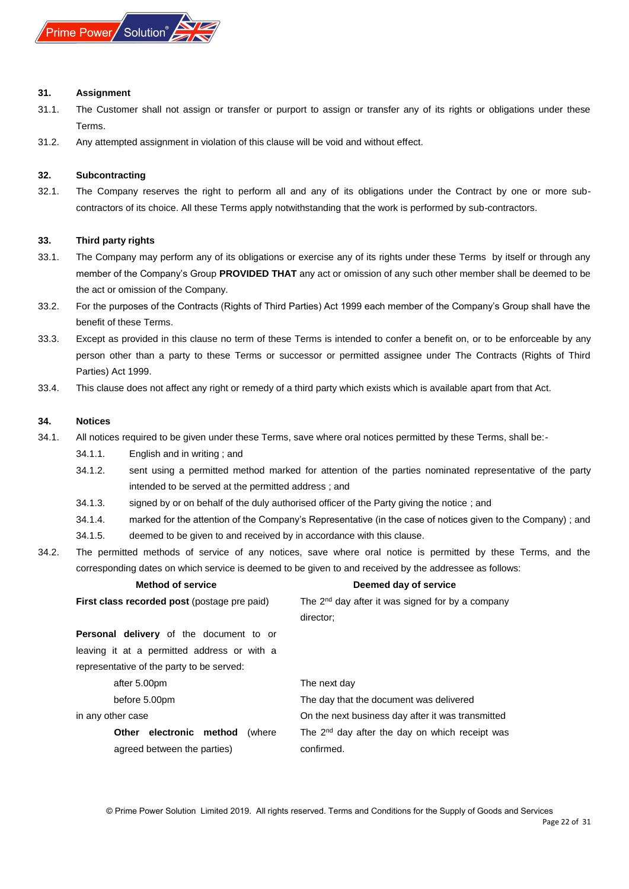

#### <span id="page-21-0"></span>**31. Assignment**

- 31.1. The Customer shall not assign or transfer or purport to assign or transfer any of its rights or obligations under these Terms.
- 31.2. Any attempted assignment in violation of this clause will be void and without effect.

#### <span id="page-21-1"></span>**32. Subcontracting**

32.1. The Company reserves the right to perform all and any of its obligations under the Contract by one or more subcontractors of its choice. All these Terms apply notwithstanding that the work is performed by sub-contractors.

#### <span id="page-21-2"></span>**33. Third party rights**

- 33.1. The Company may perform any of its obligations or exercise any of its rights under these Terms by itself or through any member of the Company's Group **PROVIDED THAT** any act or omission of any such other member shall be deemed to be the act or omission of the Company.
- 33.2. For the purposes of the Contracts (Rights of Third Parties) Act 1999 each member of the Company's Group shall have the benefit of these Terms.
- 33.3. Except as provided in this clause no term of these Terms is intended to confer a benefit on, or to be enforceable by any person other than a party to these Terms or successor or permitted assignee under The Contracts (Rights of Third Parties) Act 1999.
- 33.4. This clause does not affect any right or remedy of a third party which exists which is available apart from that Act.

#### <span id="page-21-3"></span>**34. Notices**

- 34.1. All notices required to be given under these Terms, save where oral notices permitted by these Terms, shall be:-
	- 34.1.1. English and in writing ; and
	- 34.1.2. sent using a permitted method marked for attention of the parties nominated representative of the party intended to be served at the permitted address ; and
	- 34.1.3. signed by or on behalf of the duly authorised officer of the Party giving the notice ; and
	- 34.1.4. marked for the attention of the Company's Representative (in the case of notices given to the Company) ; and
	- 34.1.5. deemed to be given to and received by in accordance with this clause.
- 34.2. The permitted methods of service of any notices, save where oral notice is permitted by these Terms, and the corresponding dates on which service is deemed to be given to and received by the addressee as follows:

| <b>Method of service</b>                            | Deemed day of service                                        |  |  |
|-----------------------------------------------------|--------------------------------------------------------------|--|--|
| <b>First class recorded post (postage pre paid)</b> | The 2 <sup>nd</sup> day after it was signed for by a company |  |  |
|                                                     | director:                                                    |  |  |
| <b>Personal delivery</b> of the document to or      |                                                              |  |  |
| leaving it at a permitted address or with a         |                                                              |  |  |
| representative of the party to be served:           |                                                              |  |  |
| after 5.00pm                                        | The next day                                                 |  |  |
| before 5.00pm                                       | The day that the document was delivered                      |  |  |
| in any other case                                   | On the next business day after it was transmitted            |  |  |
| electronic method<br>(where<br><b>Other</b>         | The 2 <sup>nd</sup> day after the day on which receipt was   |  |  |
| agreed between the parties)                         | confirmed.                                                   |  |  |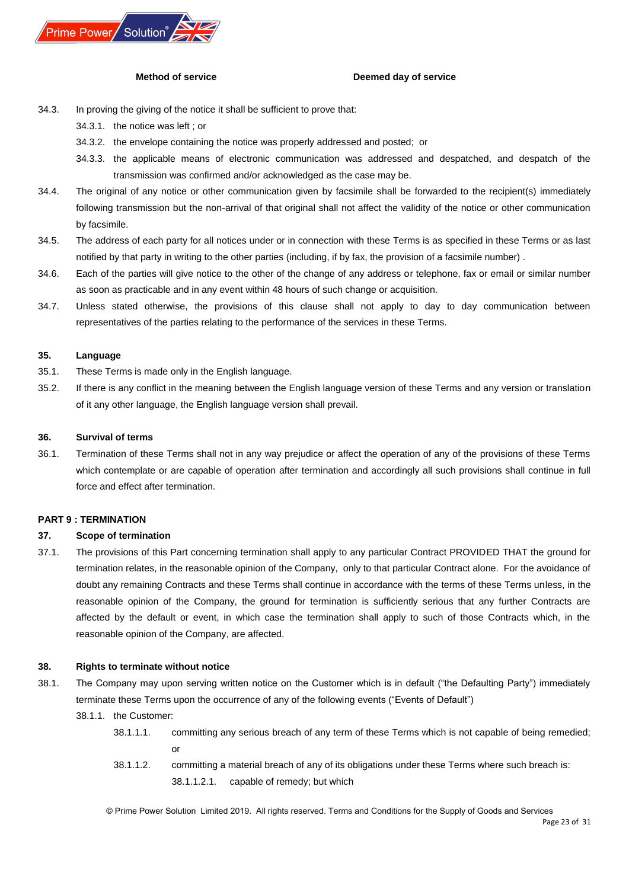

#### **Method of service Deemed day of service**

- 34.3. In proving the giving of the notice it shall be sufficient to prove that:
	- 34.3.1. the notice was left ; or
	- 34.3.2. the envelope containing the notice was properly addressed and posted; or
	- 34.3.3. the applicable means of electronic communication was addressed and despatched, and despatch of the transmission was confirmed and/or acknowledged as the case may be.
- 34.4. The original of any notice or other communication given by facsimile shall be forwarded to the recipient(s) immediately following transmission but the non-arrival of that original shall not affect the validity of the notice or other communication by facsimile.
- 34.5. The address of each party for all notices under or in connection with these Terms is as specified in these Terms or as last notified by that party in writing to the other parties (including, if by fax, the provision of a facsimile number) .
- 34.6. Each of the parties will give notice to the other of the change of any address or telephone, fax or email or similar number as soon as practicable and in any event within 48 hours of such change or acquisition.
- 34.7. Unless stated otherwise, the provisions of this clause shall not apply to day to day communication between representatives of the parties relating to the performance of the services in these Terms.

#### <span id="page-22-0"></span>**35. Language**

- 35.1. These Terms is made only in the English language.
- 35.2. If there is any conflict in the meaning between the English language version of these Terms and any version or translation of it any other language, the English language version shall prevail.

#### <span id="page-22-1"></span>**36. Survival of terms**

36.1. Termination of these Terms shall not in any way prejudice or affect the operation of any of the provisions of these Terms which contemplate or are capable of operation after termination and accordingly all such provisions shall continue in full force and effect after termination.

#### <span id="page-22-2"></span>**PART 9 : TERMINATION**

#### <span id="page-22-3"></span>**37. Scope of termination**

37.1. The provisions of this Part concerning termination shall apply to any particular Contract PROVIDED THAT the ground for termination relates, in the reasonable opinion of the Company, only to that particular Contract alone. For the avoidance of doubt any remaining Contracts and these Terms shall continue in accordance with the terms of these Terms unless, in the reasonable opinion of the Company, the ground for termination is sufficiently serious that any further Contracts are affected by the default or event, in which case the termination shall apply to such of those Contracts which, in the reasonable opinion of the Company, are affected.

#### <span id="page-22-4"></span>**38. Rights to terminate without notice**

- 38.1. The Company may upon serving written notice on the Customer which is in default ("the Defaulting Party") immediately terminate these Terms upon the occurrence of any of the following events ("Events of Default")
	- 38.1.1. the Customer:
		- 38.1.1.1. committing any serious breach of any term of these Terms which is not capable of being remedied; or
		- 38.1.1.2. committing a material breach of any of its obligations under these Terms where such breach is: 38.1.1.2.1. capable of remedy; but which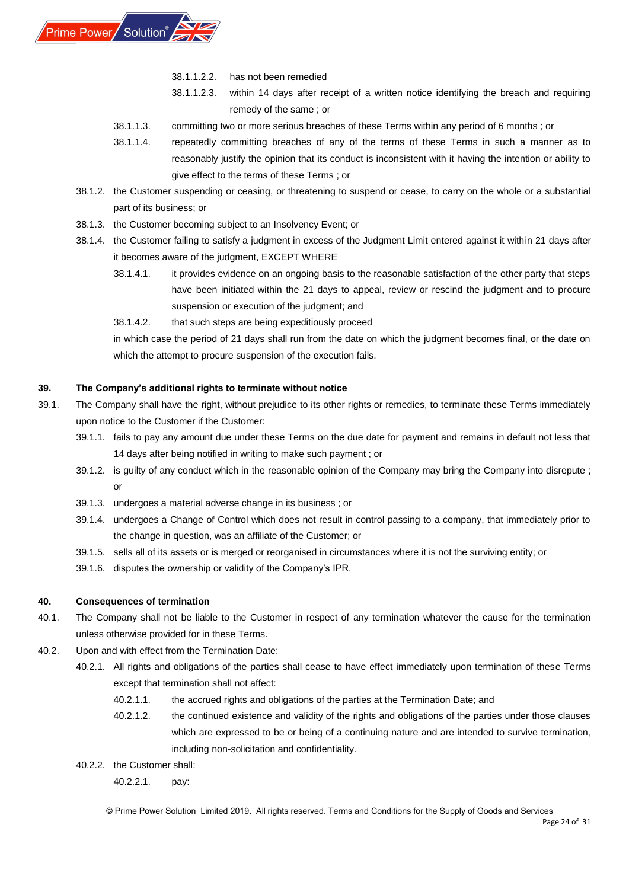

- 38.1.1.2.2. has not been remedied
- 38.1.1.2.3. within 14 days after receipt of a written notice identifying the breach and requiring remedy of the same ; or
- 38.1.1.3. committing two or more serious breaches of these Terms within any period of 6 months ; or
- 38.1.1.4. repeatedly committing breaches of any of the terms of these Terms in such a manner as to reasonably justify the opinion that its conduct is inconsistent with it having the intention or ability to give effect to the terms of these Terms ; or
- 38.1.2. the Customer suspending or ceasing, or threatening to suspend or cease, to carry on the whole or a substantial part of its business; or
- 38.1.3. the Customer becoming subject to an Insolvency Event; or
- 38.1.4. the Customer failing to satisfy a judgment in excess of the Judgment Limit entered against it within 21 days after it becomes aware of the judgment, EXCEPT WHERE
	- 38.1.4.1. it provides evidence on an ongoing basis to the reasonable satisfaction of the other party that steps have been initiated within the 21 days to appeal, review or rescind the judgment and to procure suspension or execution of the judgment; and
	- 38.1.4.2. that such steps are being expeditiously proceed

in which case the period of 21 days shall run from the date on which the judgment becomes final, or the date on which the attempt to procure suspension of the execution fails.

## <span id="page-23-0"></span>**39. The Company's additional rights to terminate without notice**

- 39.1. The Company shall have the right, without prejudice to its other rights or remedies, to terminate these Terms immediately upon notice to the Customer if the Customer:
	- 39.1.1. fails to pay any amount due under these Terms on the due date for payment and remains in default not less that 14 days after being notified in writing to make such payment ; or
	- 39.1.2. is guilty of any conduct which in the reasonable opinion of the Company may bring the Company into disrepute ; or
	- 39.1.3. undergoes a material adverse change in its business ; or
	- 39.1.4. undergoes a Change of Control which does not result in control passing to a company, that immediately prior to the change in question, was an affiliate of the Customer; or
	- 39.1.5. sells all of its assets or is merged or reorganised in circumstances where it is not the surviving entity; or
	- 39.1.6. disputes the ownership or validity of the Company's IPR.

## <span id="page-23-1"></span>**40. Consequences of termination**

- 40.1. The Company shall not be liable to the Customer in respect of any termination whatever the cause for the termination unless otherwise provided for in these Terms.
- 40.2. Upon and with effect from the Termination Date:
	- 40.2.1. All rights and obligations of the parties shall cease to have effect immediately upon termination of these Terms except that termination shall not affect:
		- 40.2.1.1. the accrued rights and obligations of the parties at the Termination Date; and
		- 40.2.1.2. the continued existence and validity of the rights and obligations of the parties under those clauses which are expressed to be or being of a continuing nature and are intended to survive termination, including non-solicitation and confidentiality.
	- 40.2.2. the Customer shall:

40.2.2.1. pay: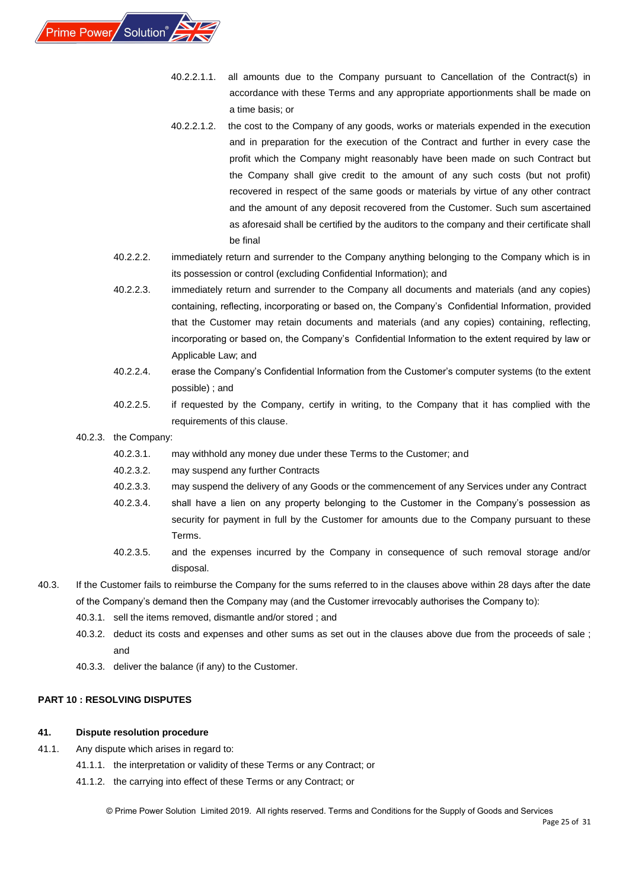

- 40.2.2.1.1. all amounts due to the Company pursuant to Cancellation of the Contract(s) in accordance with these Terms and any appropriate apportionments shall be made on a time basis; or
- 40.2.2.1.2. the cost to the Company of any goods, works or materials expended in the execution and in preparation for the execution of the Contract and further in every case the profit which the Company might reasonably have been made on such Contract but the Company shall give credit to the amount of any such costs (but not profit) recovered in respect of the same goods or materials by virtue of any other contract and the amount of any deposit recovered from the Customer. Such sum ascertained as aforesaid shall be certified by the auditors to the company and their certificate shall be final
- 40.2.2.2. immediately return and surrender to the Company anything belonging to the Company which is in its possession or control (excluding Confidential Information); and
- 40.2.2.3. immediately return and surrender to the Company all documents and materials (and any copies) containing, reflecting, incorporating or based on, the Company's Confidential Information, provided that the Customer may retain documents and materials (and any copies) containing, reflecting, incorporating or based on, the Company's Confidential Information to the extent required by law or Applicable Law; and
- 40.2.2.4. erase the Company's Confidential Information from the Customer's computer systems (to the extent possible) ; and
- 40.2.2.5. if requested by the Company, certify in writing, to the Company that it has complied with the requirements of this clause.

#### 40.2.3. the Company:

- 40.2.3.1. may withhold any money due under these Terms to the Customer; and
- 40.2.3.2. may suspend any further Contracts
- 40.2.3.3. may suspend the delivery of any Goods or the commencement of any Services under any Contract
- 40.2.3.4. shall have a lien on any property belonging to the Customer in the Company's possession as security for payment in full by the Customer for amounts due to the Company pursuant to these Terms.
- 40.2.3.5. and the expenses incurred by the Company in consequence of such removal storage and/or disposal.
- 40.3. If the Customer fails to reimburse the Company for the sums referred to in the clauses above within 28 days after the date of the Company's demand then the Company may (and the Customer irrevocably authorises the Company to):
	- 40.3.1. sell the items removed, dismantle and/or stored ; and
	- 40.3.2. deduct its costs and expenses and other sums as set out in the clauses above due from the proceeds of sale ; and
	- 40.3.3. deliver the balance (if any) to the Customer.

#### <span id="page-24-0"></span>**PART 10 : RESOLVING DISPUTES**

#### <span id="page-24-1"></span>**41. Dispute resolution procedure**

- 41.1. Any dispute which arises in regard to:
	- 41.1.1. the interpretation or validity of these Terms or any Contract; or
	- 41.1.2. the carrying into effect of these Terms or any Contract; or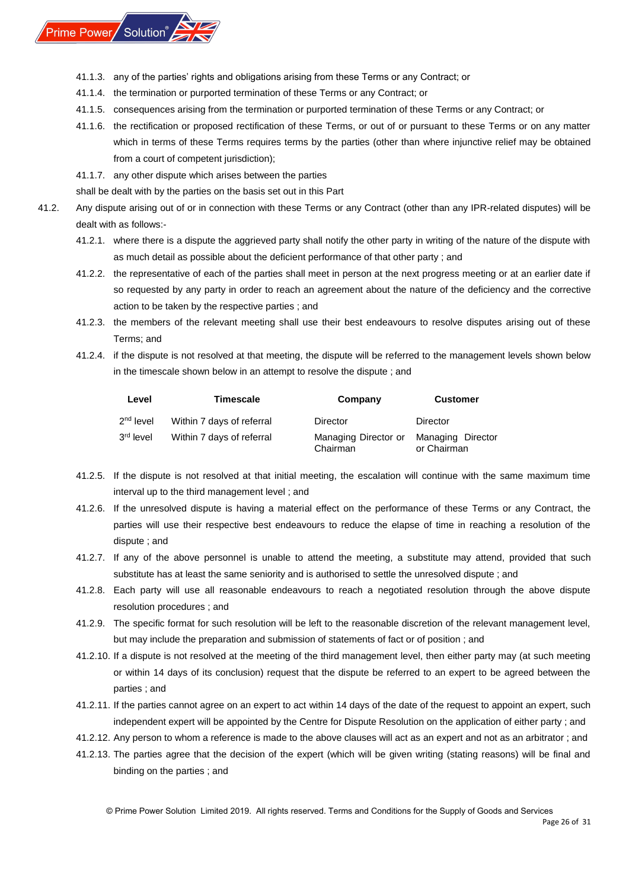

- 41.1.3. any of the parties' rights and obligations arising from these Terms or any Contract; or
- 41.1.4. the termination or purported termination of these Terms or any Contract; or
- 41.1.5. consequences arising from the termination or purported termination of these Terms or any Contract; or
- 41.1.6. the rectification or proposed rectification of these Terms, or out of or pursuant to these Terms or on any matter which in terms of these Terms requires terms by the parties (other than where injunctive relief may be obtained from a court of competent jurisdiction);
- 41.1.7. any other dispute which arises between the parties

shall be dealt with by the parties on the basis set out in this Part

- 41.2. Any dispute arising out of or in connection with these Terms or any Contract (other than any IPR-related disputes) will be dealt with as follows:-
	- 41.2.1. where there is a dispute the aggrieved party shall notify the other party in writing of the nature of the dispute with as much detail as possible about the deficient performance of that other party ; and
	- 41.2.2. the representative of each of the parties shall meet in person at the next progress meeting or at an earlier date if so requested by any party in order to reach an agreement about the nature of the deficiency and the corrective action to be taken by the respective parties ; and
	- 41.2.3. the members of the relevant meeting shall use their best endeavours to resolve disputes arising out of these Terms; and
	- 41.2.4. if the dispute is not resolved at that meeting, the dispute will be referred to the management levels shown below in the timescale shown below in an attempt to resolve the dispute ; and

| Level                 | <b>Timescale</b>          | Company                          | <b>Customer</b>                  |
|-----------------------|---------------------------|----------------------------------|----------------------------------|
| $2nd$ level           | Within 7 days of referral | Director                         | Director                         |
| 3 <sup>rd</sup> level | Within 7 days of referral | Managing Director or<br>Chairman | Managing Director<br>or Chairman |

- 41.2.5. If the dispute is not resolved at that initial meeting, the escalation will continue with the same maximum time interval up to the third management level ; and
- 41.2.6. If the unresolved dispute is having a material effect on the performance of these Terms or any Contract, the parties will use their respective best endeavours to reduce the elapse of time in reaching a resolution of the dispute ; and
- 41.2.7. If any of the above personnel is unable to attend the meeting, a substitute may attend, provided that such substitute has at least the same seniority and is authorised to settle the unresolved dispute ; and
- 41.2.8. Each party will use all reasonable endeavours to reach a negotiated resolution through the above dispute resolution procedures ; and
- 41.2.9. The specific format for such resolution will be left to the reasonable discretion of the relevant management level, but may include the preparation and submission of statements of fact or of position ; and
- 41.2.10. If a dispute is not resolved at the meeting of the third management level, then either party may (at such meeting or within 14 days of its conclusion) request that the dispute be referred to an expert to be agreed between the parties ; and
- 41.2.11. If the parties cannot agree on an expert to act within 14 days of the date of the request to appoint an expert, such independent expert will be appointed by the Centre for Dispute Resolution on the application of either party ; and
- 41.2.12. Any person to whom a reference is made to the above clauses will act as an expert and not as an arbitrator ; and
- 41.2.13. The parties agree that the decision of the expert (which will be given writing (stating reasons) will be final and binding on the parties ; and